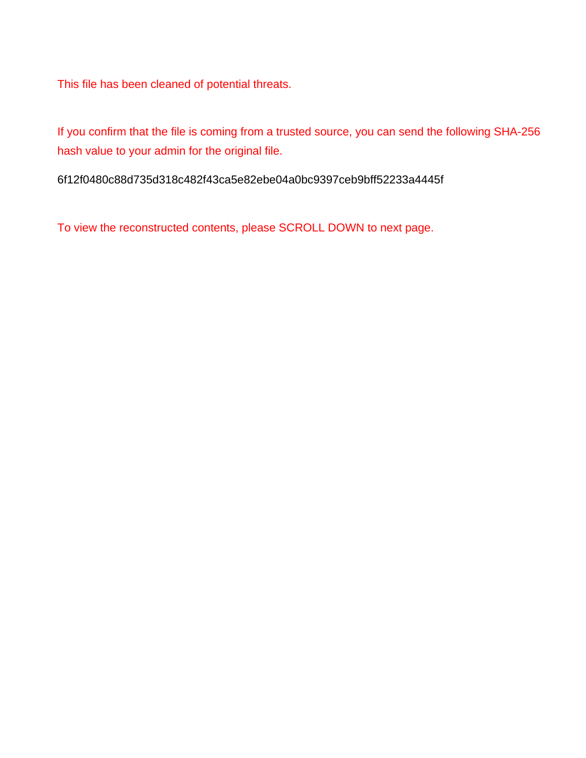This file has been cleaned of potential threats.

If you confirm that the file is coming from a trusted source, you can send the following SHA-256 hash value to your admin for the original file.

6f12f0480c88d735d318c482f43ca5e82ebe04a0bc9397ceb9bff52233a4445f

To view the reconstructed contents, please SCROLL DOWN to next page.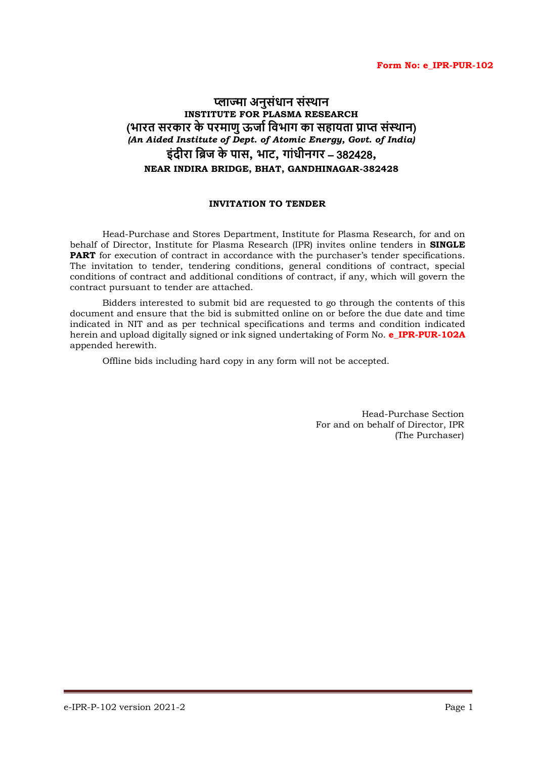#### **Form No: e\_IPR-PUR-102**

# **प्लाज्मा अनुसंधान संस्थान INSTITUTE FOR PLASMA RESEARCH** (**भारत सरकार के परमाणु ऊर्ाा विभाग का सहायता प्राप्त संसथान**) *(An Aided Institute of Dept. of Atomic Energy, Govt. of India)* **इंदीरा विर् के पास, भाट, गांधीनगर** – 382428**, NEAR INDIRA BRIDGE, BHAT, GANDHINAGAR-382428**

# **INVITATION TO TENDER**

Head-Purchase and Stores Department, Institute for Plasma Research, for and on behalf of Director, Institute for Plasma Research (IPR) invites online tenders in **SINGLE PART** for execution of contract in accordance with the purchaser's tender specifications. The invitation to tender, tendering conditions, general conditions of contract, special conditions of contract and additional conditions of contract, if any, which will govern the contract pursuant to tender are attached.

Bidders interested to submit bid are requested to go through the contents of this document and ensure that the bid is submitted online on or before the due date and time indicated in NIT and as per technical specifications and terms and condition indicated herein and upload digitally signed or ink signed undertaking of Form No. **e\_IPR-PUR-102A** appended herewith.

Offline bids including hard copy in any form will not be accepted.

Head-Purchase Section For and on behalf of Director, IPR (The Purchaser)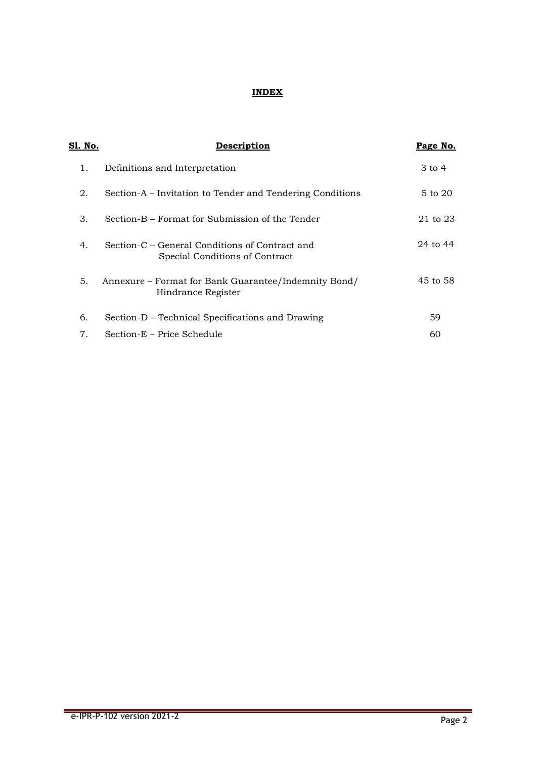# **INDEX**

| <u>Sl. No.</u> | Description                                                                      | Page No. |
|----------------|----------------------------------------------------------------------------------|----------|
| 1.             | Definitions and Interpretation                                                   | 3 to 4   |
| 2.             | Section-A – Invitation to Tender and Tendering Conditions                        | 5 to 20  |
| 3.             | Section-B – Format for Submission of the Tender                                  | 21 to 23 |
| 4.             | Section-C – General Conditions of Contract and<br>Special Conditions of Contract | 24 to 44 |
| 5.             | Annexure – Format for Bank Guarantee/Indemnity Bond/<br>Hindrance Register       | 45 to 58 |
| 6.             | Section-D – Technical Specifications and Drawing                                 | 59       |
| 7.             | Section-E – Price Schedule                                                       | 60       |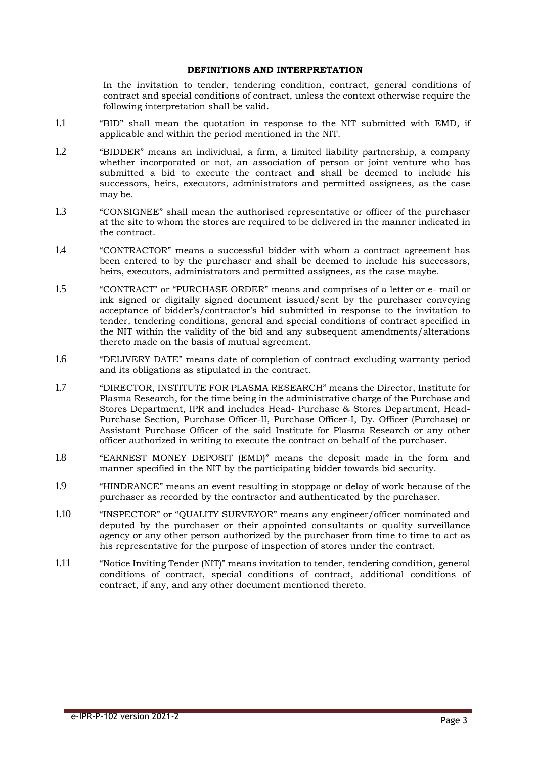#### **DEFINITIONS AND INTERPRETATION**

In the invitation to tender, tendering condition, contract, general conditions of contract and special conditions of contract, unless the context otherwise require the following interpretation shall be valid.

- 1.1 "BID" shall mean the quotation in response to the NIT submitted with EMD, if applicable and within the period mentioned in the NIT.
- 1.2 "BIDDER" means an individual, a firm, a limited liability partnership, a company whether incorporated or not, an association of person or joint venture who has submitted a bid to execute the contract and shall be deemed to include his successors, heirs, executors, administrators and permitted assignees, as the case may be.
- 1.3 "CONSIGNEE" shall mean the authorised representative or officer of the purchaser at the site to whom the stores are required to be delivered in the manner indicated in the contract.
- 1.4 "CONTRACTOR" means a successful bidder with whom a contract agreement has been entered to by the purchaser and shall be deemed to include his successors, heirs, executors, administrators and permitted assignees, as the case maybe.
- 1.5 "CONTRACT" or "PURCHASE ORDER" means and comprises of a letter or e- mail or ink signed or digitally signed document issued/sent by the purchaser conveying acceptance of bidder's/contractor's bid submitted in response to the invitation to tender, tendering conditions, general and special conditions of contract specified in the NIT within the validity of the bid and any subsequent amendments/alterations thereto made on the basis of mutual agreement.
- 1.6 "DELIVERY DATE" means date of completion of contract excluding warranty period and its obligations as stipulated in the contract.
- 1.7 "DIRECTOR, INSTITUTE FOR PLASMA RESEARCH" means the Director, Institute for Plasma Research, for the time being in the administrative charge of the Purchase and Stores Department, IPR and includes Head- Purchase & Stores Department, Head-Purchase Section, Purchase Officer-II, Purchase Officer-I, Dy. Officer (Purchase) or Assistant Purchase Officer of the said Institute for Plasma Research or any other officer authorized in writing to execute the contract on behalf of the purchaser.
- 1.8 "EARNEST MONEY DEPOSIT (EMD)" means the deposit made in the form and manner specified in the NIT by the participating bidder towards bid security.
- 1.9 "HINDRANCE" means an event resulting in stoppage or delay of work because of the purchaser as recorded by the contractor and authenticated by the purchaser.
- 1.10 "INSPECTOR" or "QUALITY SURVEYOR" means any engineer/officer nominated and deputed by the purchaser or their appointed consultants or quality surveillance agency or any other person authorized by the purchaser from time to time to act as his representative for the purpose of inspection of stores under the contract.
- 1.11 "Notice Inviting Tender (NIT)" means invitation to tender, tendering condition, general conditions of contract, special conditions of contract, additional conditions of contract, if any, and any other document mentioned thereto.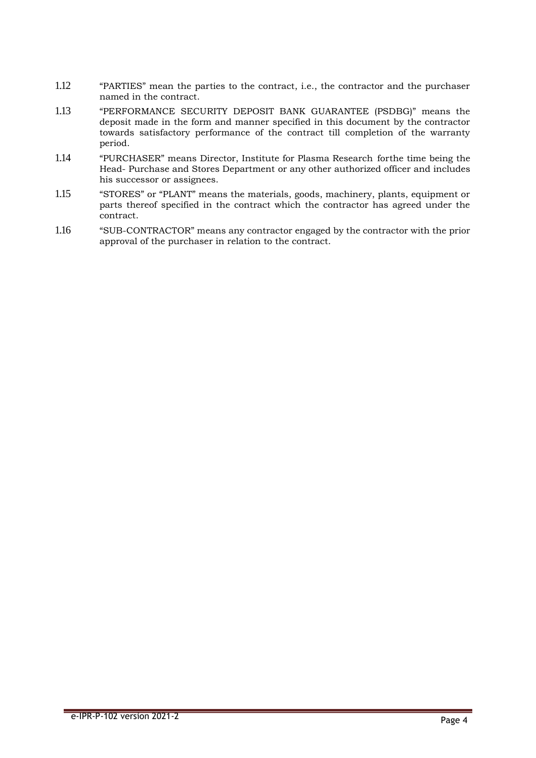- 1.12 "PARTIES" mean the parties to the contract, i.e., the contractor and the purchaser named in the contract.
- 1.13 "PERFORMANCE SECURITY DEPOSIT BANK GUARANTEE (PSDBG)" means the deposit made in the form and manner specified in this document by the contractor towards satisfactory performance of the contract till completion of the warranty period.
- 1.14 "PURCHASER" means Director, Institute for Plasma Research forthe time being the Head- Purchase and Stores Department or any other authorized officer and includes his successor or assignees.
- 1.15 "STORES" or "PLANT" means the materials, goods, machinery, plants, equipment or parts thereof specified in the contract which the contractor has agreed under the contract.
- 1.16 "SUB-CONTRACTOR" means any contractor engaged by the contractor with the prior approval of the purchaser in relation to the contract.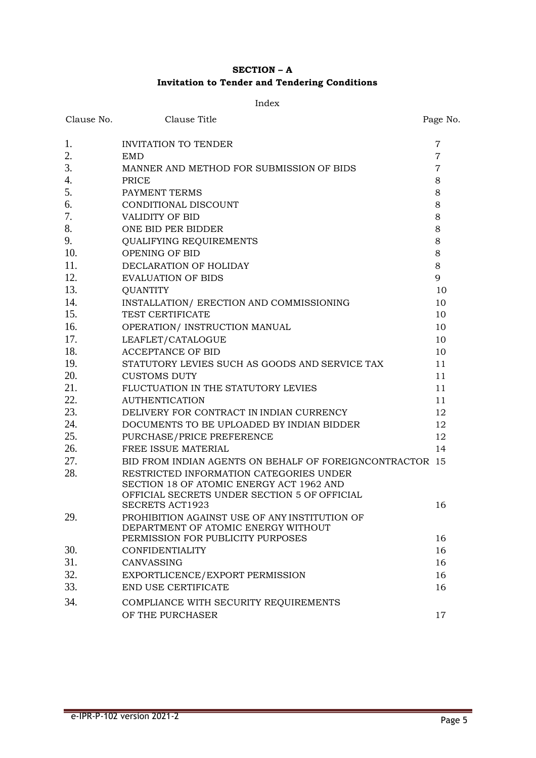# **SECTION – A Invitation to Tender and Tendering Conditions**

#### Index

| Clause No. | Clause Title                                                            | Page No.       |
|------------|-------------------------------------------------------------------------|----------------|
| 1.         | <b>INVITATION TO TENDER</b>                                             | $\overline{7}$ |
| 2.         | <b>EMD</b>                                                              | $\overline{7}$ |
| 3.         | MANNER AND METHOD FOR SUBMISSION OF BIDS                                | $\overline{7}$ |
| 4.         | PRICE                                                                   | 8              |
| 5.         | PAYMENT TERMS                                                           | 8              |
| 6.         | CONDITIONAL DISCOUNT                                                    | 8              |
| 7.         | <b>VALIDITY OF BID</b>                                                  | 8              |
| 8.         | ONE BID PER BIDDER                                                      | 8              |
| 9.         | <b>QUALIFYING REQUIREMENTS</b>                                          | 8              |
| 10.        | OPENING OF BID                                                          | 8              |
| 11.        | DECLARATION OF HOLIDAY                                                  | 8              |
| 12.        | <b>EVALUATION OF BIDS</b>                                               | 9              |
| 13.        | <b>QUANTITY</b>                                                         | 10             |
| 14.        | INSTALLATION/ ERECTION AND COMMISSIONING                                | 10             |
| 15.        | TEST CERTIFICATE                                                        | 10             |
| 16.        | OPERATION/ INSTRUCTION MANUAL                                           | 10             |
| 17.        | LEAFLET/CATALOGUE                                                       | 10             |
| 18.        | <b>ACCEPTANCE OF BID</b>                                                | 10             |
| 19.        | STATUTORY LEVIES SUCH AS GOODS AND SERVICE TAX                          | 11             |
| 20.        | <b>CUSTOMS DUTY</b>                                                     | 11             |
| 21.        | FLUCTUATION IN THE STATUTORY LEVIES                                     | 11             |
| 22.        | <b>AUTHENTICATION</b>                                                   | 11             |
| 23.        | DELIVERY FOR CONTRACT IN INDIAN CURRENCY                                | 12             |
| 24.        | DOCUMENTS TO BE UPLOADED BY INDIAN BIDDER                               | 12             |
| 25.        | PURCHASE/PRICE PREFERENCE                                               | 12             |
| 26.        | FREE ISSUE MATERIAL                                                     | 14             |
| 27.        | BID FROM INDIAN AGENTS ON BEHALF OF FOREIGNCONTRACTOR 15                |                |
| 28.        | RESTRICTED INFORMATION CATEGORIES UNDER                                 |                |
|            | SECTION 18 OF ATOMIC ENERGY ACT 1962 AND                                |                |
|            | OFFICIAL SECRETS UNDER SECTION 5 OF OFFICIAL                            | 16             |
| 29.        | <b>SECRETS ACT1923</b><br>PROHIBITION AGAINST USE OF ANY INSTITUTION OF |                |
|            | DEPARTMENT OF ATOMIC ENERGY WITHOUT                                     |                |
|            | PERMISSION FOR PUBLICITY PURPOSES                                       | 16             |
| 30.        | <b>CONFIDENTIALITY</b>                                                  | 16             |
| 31.        | CANVASSING                                                              | 16             |
| 32.        | EXPORTLICENCE/EXPORT PERMISSION                                         | 16             |
| 33.        | END USE CERTIFICATE                                                     | 16             |
| 34.        | COMPLIANCE WITH SECURITY REQUIREMENTS                                   |                |
|            | OF THE PURCHASER                                                        | 17             |
|            |                                                                         |                |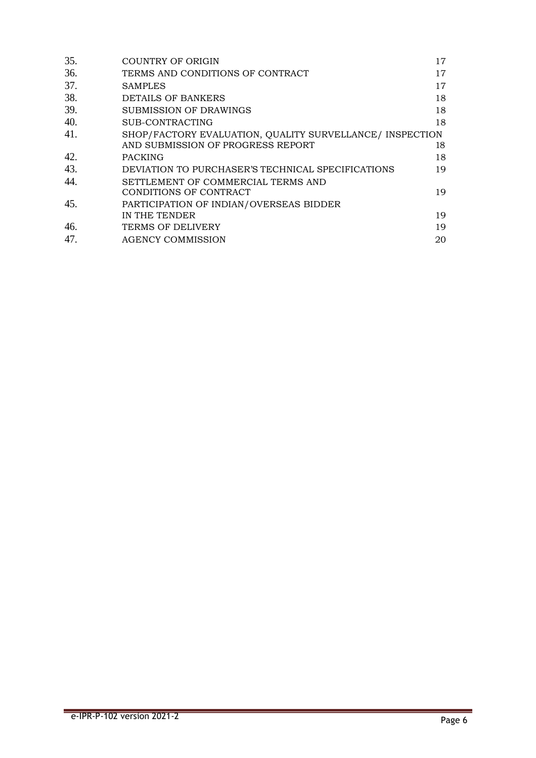| 35. | <b>COUNTRY OF ORIGIN</b>                                 | $17 \,$ |
|-----|----------------------------------------------------------|---------|
| 36. | TERMS AND CONDITIONS OF CONTRACT                         | 17      |
| 37. | <b>SAMPLES</b>                                           | 17      |
| 38. | <b>DETAILS OF BANKERS</b>                                | 18      |
| 39. | SUBMISSION OF DRAWINGS                                   | 18      |
| 40. | SUB-CONTRACTING                                          | 18      |
| 41. | SHOP/FACTORY EVALUATION, QUALITY SURVELLANCE/ INSPECTION |         |
|     | AND SUBMISSION OF PROGRESS REPORT                        | 18      |
| 42. | <b>PACKING</b>                                           | 18      |
| 43. | DEVIATION TO PURCHASER'S TECHNICAL SPECIFICATIONS        | 19      |
| 44. | SETTLEMENT OF COMMERCIAL TERMS AND                       |         |
|     | CONDITIONS OF CONTRACT                                   | 19      |
| 45. | PARTICIPATION OF INDIAN/OVERSEAS BIDDER                  |         |
|     | IN THE TENDER                                            | 19      |
| 46. | <b>TERMS OF DELIVERY</b>                                 | 19      |
| 47. | <b>AGENCY COMMISSION</b>                                 | 20      |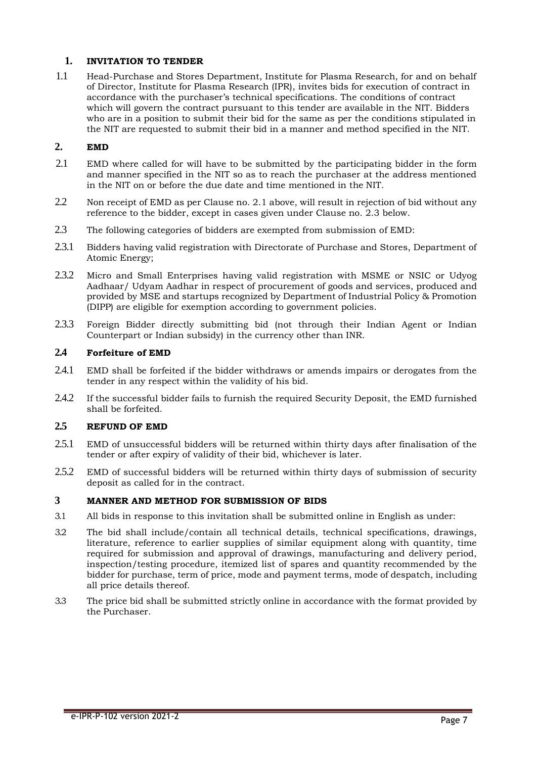# <span id="page-7-0"></span>**1. INVITATION TO TENDER**

1.1 Head-Purchase and Stores Department, Institute for Plasma Research, for and on behalf of Director, Institute for Plasma Research (IPR), invites bids for execution of contract in accordance with the purchaser's technical specifications. The conditions of contract which will govern the contract pursuant to this tender are available in the NIT. Bidders who are in a position to submit their bid for the same as per the conditions stipulated in the NIT are requested to submit their bid in a manner and method specified in the NIT.

# <span id="page-7-1"></span>**2. EMD**

- 2.1 EMD where called for will have to be submitted by the participating bidder in the form and manner specified in the NIT so as to reach the purchaser at the address mentioned in the NIT on or before the due date and time mentioned in the NIT.
- 2.2 Non receipt of EMD as per Clause no. 2.1 above, will result in rejection of bid without any reference to the bidder, except in cases given under Clause no. 2.3 below.
- 2.3 The following categories of bidders are exempted from submission of EMD:
- 2.3.1 Bidders having valid registration with Directorate of Purchase and Stores, Department of Atomic Energy;
- 2.3.2 Micro and Small Enterprises having valid registration with MSME or NSIC or Udyog Aadhaar/ Udyam Aadhar in respect of procurement of goods and services, produced and provided by MSE and startups recognized by Department of Industrial Policy & Promotion (DIPP) are eligible for exemption according to government policies.
- 2.3.3 Foreign Bidder directly submitting bid (not through their Indian Agent or Indian Counterpart or Indian subsidy) in the currency other than INR.

# **2.4 Forfeiture of EMD**

- 2.4.1 EMD shall be forfeited if the bidder withdraws or amends impairs or derogates from the tender in any respect within the validity of his bid.
- 2.4.2 If the successful bidder fails to furnish the required Security Deposit, the EMD furnished shall be forfeited.

## **2.5 REFUND OF EMD**

- 2.5.1 EMD of unsuccessful bidders will be returned within thirty days after finalisation of the tender or after expiry of validity of their bid, whichever is later.
- 2.5.2 EMD of successful bidders will be returned within thirty days of submission of security deposit as called for in the contract.

# <span id="page-7-2"></span>**3 MANNER AND METHOD FOR SUBMISSION OF BIDS**

- 3.1 All bids in response to this invitation shall be submitted online in English as under:
- 3.2 The bid shall include/contain all technical details, technical specifications, drawings, literature, reference to earlier supplies of similar equipment along with quantity, time required for submission and approval of drawings, manufacturing and delivery period, inspection/testing procedure, itemized list of spares and quantity recommended by the bidder for purchase, term of price, mode and payment terms, mode of despatch, including all price details thereof.
- 3.3 The price bid shall be submitted strictly online in accordance with the format provided by the Purchaser.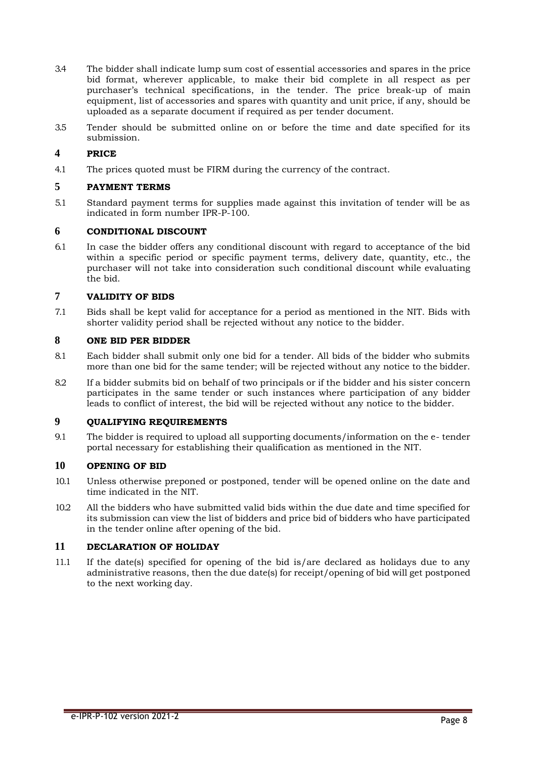- 3.4 The bidder shall indicate lump sum cost of essential accessories and spares in the price bid format, wherever applicable, to make their bid complete in all respect as per purchaser's technical specifications, in the tender. The price break-up of main equipment, list of accessories and spares with quantity and unit price, if any, should be uploaded as a separate document if required as per tender document.
- 3.5 Tender should be submitted online on or before the time and date specified for its submission.

# <span id="page-8-0"></span>**4 PRICE**

4.1 The prices quoted must be FIRM during the currency of the contract.

# <span id="page-8-1"></span>**5 PAYMENT TERMS**

5.1 Standard payment terms for supplies made against this invitation of tender will be as indicated in form number IPR-P-100.

#### <span id="page-8-2"></span>**6 CONDITIONAL DISCOUNT**

6.1 In case the bidder offers any conditional discount with regard to acceptance of the bid within a specific period or specific payment terms, delivery date, quantity, etc., the purchaser will not take into consideration such conditional discount while evaluating the bid.

#### **7 VALIDITY OF BIDS**

7.1 Bids shall be kept valid for acceptance for a period as mentioned in the NIT. Bids with shorter validity period shall be rejected without any notice to the bidder.

#### <span id="page-8-3"></span>**8 ONE BID PER BIDDER**

- 8.1 Each bidder shall submit only one bid for a tender. All bids of the bidder who submits more than one bid for the same tender; will be rejected without any notice to the bidder.
- 8.2 If a bidder submits bid on behalf of two principals or if the bidder and his sister concern participates in the same tender or such instances where participation of any bidder leads to conflict of interest, the bid will be rejected without any notice to the bidder.

# <span id="page-8-4"></span>**9 QUALIFYING REQUIREMENTS**

9.1 The bidder is required to upload all supporting documents/information on the e- tender portal necessary for establishing their qualification as mentioned in the NIT.

#### <span id="page-8-5"></span>**10 OPENING OF BID**

- 10.1 Unless otherwise preponed or postponed, tender will be opened online on the date and time indicated in the NIT.
- 10.2 All the bidders who have submitted valid bids within the due date and time specified for its submission can view the list of bidders and price bid of bidders who have participated in the tender online after opening of the bid.

# <span id="page-8-6"></span>**11 DECLARATION OF HOLIDAY**

11.1 If the date(s) specified for opening of the bid is/are declared as holidays due to any administrative reasons, then the due date(s) for receipt/opening of bid will get postponed to the next working day.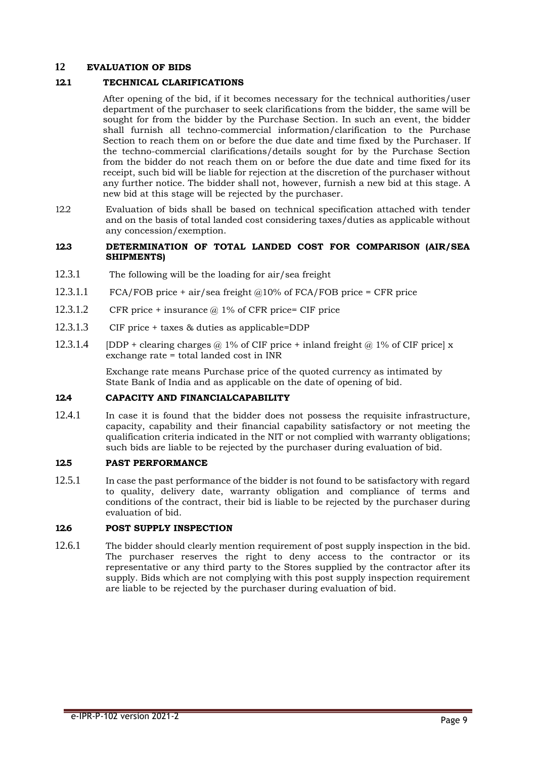# **12 EVALUATION OF BIDS**

#### **12.1 TECHNICAL CLARIFICATIONS**

After opening of the bid, if it becomes necessary for the technical authorities/user department of the purchaser to seek clarifications from the bidder, the same will be sought for from the bidder by the Purchase Section. In such an event, the bidder shall furnish all techno-commercial information/clarification to the Purchase Section to reach them on or before the due date and time fixed by the Purchaser. If the techno-commercial clarifications/details sought for by the Purchase Section from the bidder do not reach them on or before the due date and time fixed for its receipt, such bid will be liable for rejection at the discretion of the purchaser without any further notice. The bidder shall not, however, furnish a new bid at this stage. A new bid at this stage will be rejected by the purchaser.

12.2 Evaluation of bids shall be based on technical specification attached with tender and on the basis of total landed cost considering taxes/duties as applicable without any concession/exemption.

#### **12.3 DETERMINATION OF TOTAL LANDED COST FOR COMPARISON (AIR/SEA SHIPMENTS)**

- 12.3.1 The following will be the loading for air/sea freight
- 12.3.1.1 FCA/FOB price + air/sea freight  $@10\%$  of FCA/FOB price = CFR price
- 12.3.1.2 CFR price + insurance @ 1% of CFR price= CIF price
- 12.3.1.3 CIF price + taxes & duties as applicable=DDP
- 12.3.1.4 [DDP + clearing charges  $\omega$  1% of CIF price + inland freight  $\omega$  1% of CIF price] x exchange rate = total landed cost in INR

Exchange rate means Purchase price of the quoted currency as intimated by State Bank of India and as applicable on the date of opening of bid.

### **12.4 CAPACITY AND FINANCIALCAPABILITY**

12.4.1 In case it is found that the bidder does not possess the requisite infrastructure, capacity, capability and their financial capability satisfactory or not meeting the qualification criteria indicated in the NIT or not complied with warranty obligations; such bids are liable to be rejected by the purchaser during evaluation of bid.

#### **12.5 PAST PERFORMANCE**

12.5.1 In case the past performance of the bidder is not found to be satisfactory with regard to quality, delivery date, warranty obligation and compliance of terms and conditions of the contract, their bid is liable to be rejected by the purchaser during evaluation of bid.

#### **12.6 POST SUPPLY INSPECTION**

12.6.1 The bidder should clearly mention requirement of post supply inspection in the bid. The purchaser reserves the right to deny access to the contractor or its representative or any third party to the Stores supplied by the contractor after its supply. Bids which are not complying with this post supply inspection requirement are liable to be rejected by the purchaser during evaluation of bid.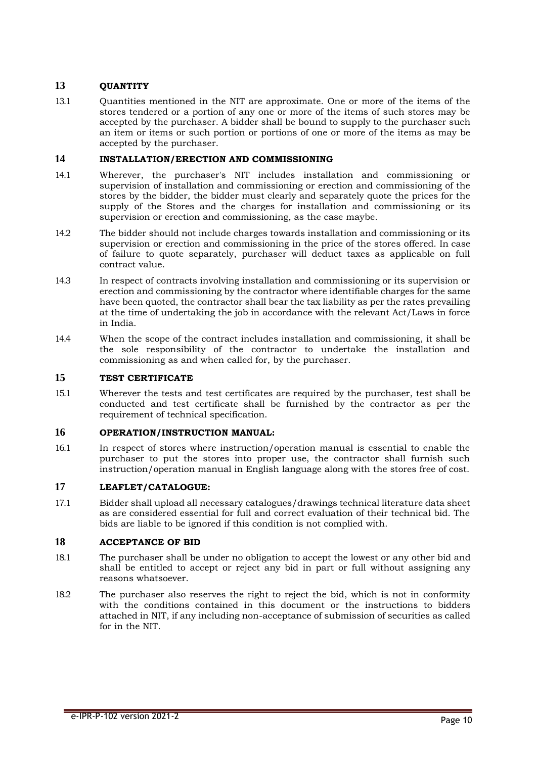# <span id="page-10-0"></span>**13 QUANTITY**

13.1 Quantities mentioned in the NIT are approximate. One or more of the items of the stores tendered or a portion of any one or more of the items of such stores may be accepted by the purchaser. A bidder shall be bound to supply to the purchaser such an item or items or such portion or portions of one or more of the items as may be accepted by the purchaser.

#### <span id="page-10-1"></span>**14 INSTALLATION/ERECTION AND COMMISSIONING**

- 14.1 Wherever, the purchaser's NIT includes installation and commissioning or supervision of installation and commissioning or erection and commissioning of the stores by the bidder, the bidder must clearly and separately quote the prices for the supply of the Stores and the charges for installation and commissioning or its supervision or erection and commissioning, as the case maybe.
- 14.2 The bidder should not include charges towards installation and commissioning or its supervision or erection and commissioning in the price of the stores offered. In case of failure to quote separately, purchaser will deduct taxes as applicable on full contract value.
- 14.3 In respect of contracts involving installation and commissioning or its supervision or erection and commissioning by the contractor where identifiable charges for the same have been quoted, the contractor shall bear the tax liability as per the rates prevailing at the time of undertaking the job in accordance with the relevant Act/Laws in force in India.
- 14.4 When the scope of the contract includes installation and commissioning, it shall be the sole responsibility of the contractor to undertake the installation and commissioning as and when called for, by the purchaser.

# <span id="page-10-2"></span>**15 TEST CERTIFICATE**

15.1 Wherever the tests and test certificates are required by the purchaser, test shall be conducted and test certificate shall be furnished by the contractor as per the requirement of technical specification.

#### <span id="page-10-3"></span>**16 OPERATION/INSTRUCTION MANUAL:**

<span id="page-10-4"></span>16.1 In respect of stores where instruction/operation manual is essential to enable the purchaser to put the stores into proper use, the contractor shall furnish such instruction/operation manual in English language along with the stores free of cost.

# **17 LEAFLET/CATALOGUE:**

17.1 Bidder shall upload all necessary catalogues/drawings technical literature data sheet as are considered essential for full and correct evaluation of their technical bid. The bids are liable to be ignored if this condition is not complied with.

#### <span id="page-10-5"></span>**18 ACCEPTANCE OF BID**

- 18.1 The purchaser shall be under no obligation to accept the lowest or any other bid and shall be entitled to accept or reject any bid in part or full without assigning any reasons whatsoever.
- 18.2 The purchaser also reserves the right to reject the bid, which is not in conformity with the conditions contained in this document or the instructions to bidders attached in NIT, if any including non-acceptance of submission of securities as called for in the NIT.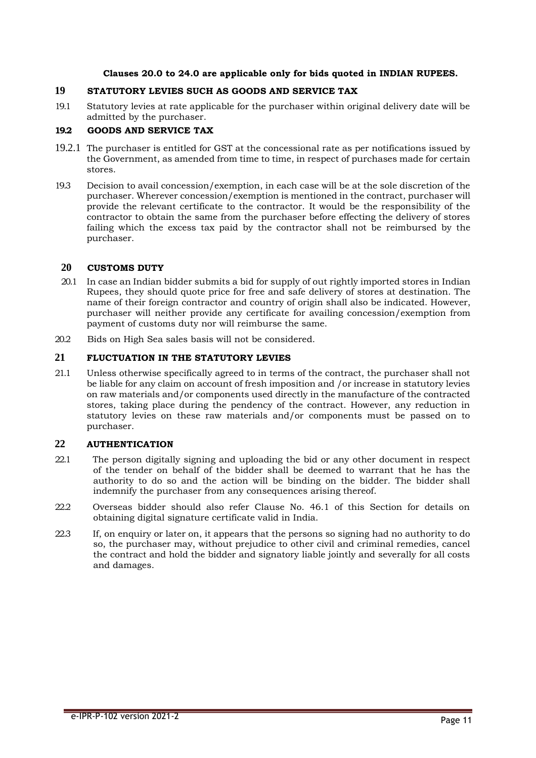#### **Clauses 20.0 to 24.0 are applicable only for bids quoted in INDIAN RUPEES.**

# <span id="page-11-0"></span>**19 STATUTORY LEVIES SUCH AS GOODS AND SERVICE TAX**

19.1 Statutory levies at rate applicable for the purchaser within original delivery date will be admitted by the purchaser.

### **19.2 GOODS AND SERVICE TAX**

- 19.2.1 The purchaser is entitled for GST at the concessional rate as per notifications issued by the Government, as amended from time to time, in respect of purchases made for certain stores.
- 19.3 Decision to avail concession/exemption, in each case will be at the sole discretion of the purchaser. Wherever concession/exemption is mentioned in the contract, purchaser will provide the relevant certificate to the contractor. It would be the responsibility of the contractor to obtain the same from the purchaser before effecting the delivery of stores failing which the excess tax paid by the contractor shall not be reimbursed by the purchaser.

# <span id="page-11-1"></span>**20 CUSTOMS DUTY**

- 20.1 In case an Indian bidder submits a bid for supply of out rightly imported stores in Indian Rupees, they should quote price for free and safe delivery of stores at destination. The name of their foreign contractor and country of origin shall also be indicated. However, purchaser will neither provide any certificate for availing concession/exemption from payment of customs duty nor will reimburse the same.
- 20.2 Bids on High Sea sales basis will not be considered.

#### <span id="page-11-2"></span>**21 FLUCTUATION IN THE STATUTORY LEVIES**

21.1 Unless otherwise specifically agreed to in terms of the contract, the purchaser shall not be liable for any claim on account of fresh imposition and /or increase in statutory levies on raw materials and/or components used directly in the manufacture of the contracted stores, taking place during the pendency of the contract. However, any reduction in statutory levies on these raw materials and/or components must be passed on to purchaser.

# <span id="page-11-3"></span>**22 AUTHENTICATION**

- 22.1 The person digitally signing and uploading the bid or any other document in respect of the tender on behalf of the bidder shall be deemed to warrant that he has the authority to do so and the action will be binding on the bidder. The bidder shall indemnify the purchaser from any consequences arising thereof.
- 22.2 Overseas bidder should also refer Clause No. 46.1 of this Section for details on obtaining digital signature certificate valid in India.
- 22.3 If, on enquiry or later on, it appears that the persons so signing had no authority to do so, the purchaser may, without prejudice to other civil and criminal remedies, cancel the contract and hold the bidder and signatory liable jointly and severally for all costs and damages.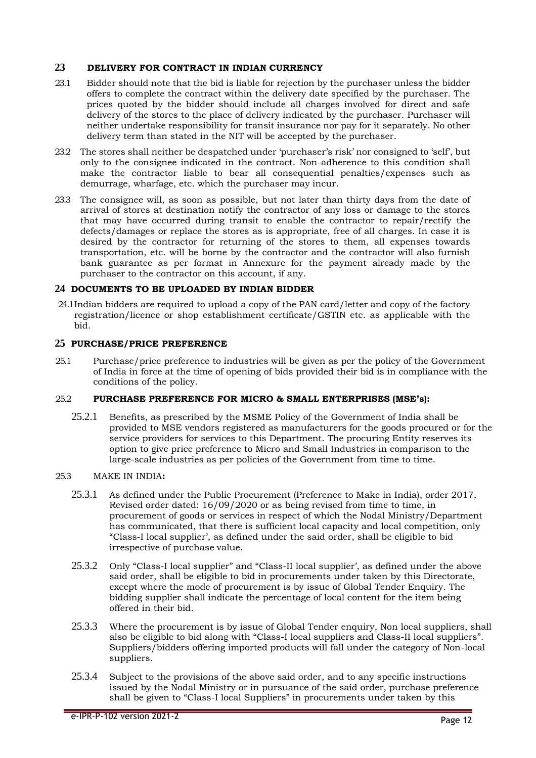# <span id="page-12-0"></span>**23 DELIVERY FOR CONTRACT IN INDIAN CURRENCY**

- 23.1 Bidder should note that the bid is liable for rejection by the purchaser unless the bidder offers to complete the contract within the delivery date specified by the purchaser. The prices quoted by the bidder should include all charges involved for direct and safe delivery of the stores to the place of delivery indicated by the purchaser. Purchaser will neither undertake responsibility for transit insurance nor pay for it separately. No other delivery term than stated in the NIT will be accepted by the purchaser.
- 23.2 The stores shall neither be despatched under 'purchaser's risk' nor consigned to 'self', but only to the consignee indicated in the contract. Non-adherence to this condition shall make the contractor liable to bear all consequential penalties/expenses such as demurrage, wharfage, etc. which the purchaser may incur.
- 23.3 The consignee will, as soon as possible, but not later than thirty days from the date of arrival of stores at destination notify the contractor of any loss or damage to the stores that may have occurred during transit to enable the contractor to repair/rectify the defects/damages or replace the stores as is appropriate, free of all charges. In case it is desired by the contractor for returning of the stores to them, all expenses towards transportation, etc. will be borne by the contractor and the contractor will also furnish bank guarantee as per format in Annexure for the payment already made by the purchaser to the contractor on this account, if any.

#### <span id="page-12-1"></span>**24 DOCUMENTS TO BE UPLOADED BY INDIAN BIDDER**

24.1Indian bidders are required to upload a copy of the PAN card/letter and copy of the factory registration/licence or shop establishment certificate/GSTIN etc. as applicable with the bid.

#### <span id="page-12-2"></span>**25 PURCHASE/PRICE PREFERENCE**

25.1 Purchase/price preference to industries will be given as per the policy of the Government of India in force at the time of opening of bids provided their bid is in compliance with the conditions of the policy.

#### 25.2 **PURCHASE PREFERENCE FOR MICRO & SMALL ENTERPRISES (MSE's):**

25.2.1 Benefits, as prescribed by the MSME Policy of the Government of India shall be provided to MSE vendors registered as manufacturers for the goods procured or for the service providers for services to this Department. The procuring Entity reserves its option to give price preference to Micro and Small Industries in comparison to the large-scale industries as per policies of the Government from time to time.

#### 25.3 MAKE IN INDIA**:**

- 25.3.1 As defined under the Public Procurement (Preference to Make in India), order 2017, Revised order dated: 16/09/2020 or as being revised from time to time, in procurement of goods or services in respect of which the Nodal Ministry/Department has communicated, that there is sufficient local capacity and local competition, only "Class-I local supplier', as defined under the said order, shall be eligible to bid irrespective of purchase value.
- 25.3.2 Only "Class-I local supplier" and "Class-II local supplier', as defined under the above said order, shall be eligible to bid in procurements under taken by this Directorate, except where the mode of procurement is by issue of Global Tender Enquiry. The bidding supplier shall indicate the percentage of local content for the item being offered in their bid.
- 25.3.3 Where the procurement is by issue of Global Tender enquiry, Non local suppliers, shall also be eligible to bid along with "Class-I local suppliers and Class-II local suppliers". Suppliers/bidders offering imported products will fall under the category of Non-local suppliers.
- 25.3.4 Subject to the provisions of the above said order, and to any specific instructions issued by the Nodal Ministry or in pursuance of the said order, purchase preference shall be given to "Class-I local Suppliers" in procurements under taken by this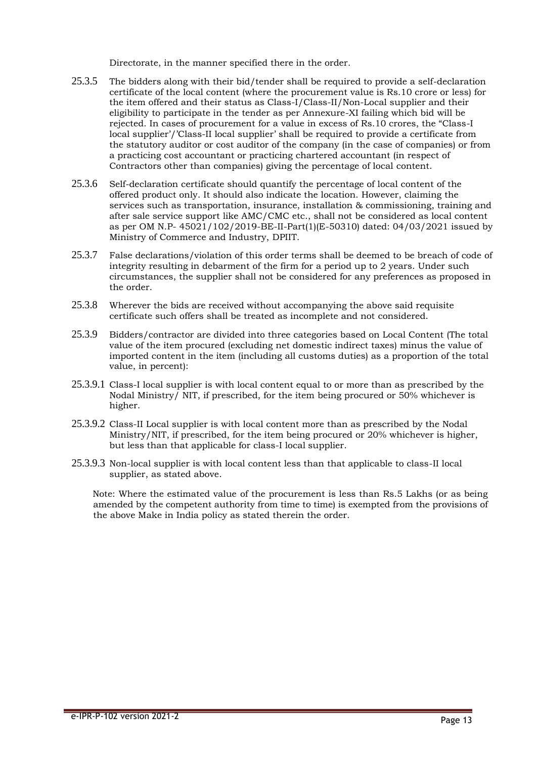Directorate, in the manner specified there in the order.

- 25.3.5 The bidders along with their bid/tender shall be required to provide a self-declaration certificate of the local content (where the procurement value is Rs.10 crore or less) for the item offered and their status as Class-I/Class-II/Non-Local supplier and their eligibility to participate in the tender as per Annexure-XI failing which bid will be rejected. In cases of procurement for a value in excess of Rs.10 crores, the "Class-I local supplier'/'Class-II local supplier' shall be required to provide a certificate from the statutory auditor or cost auditor of the company (in the case of companies) or from a practicing cost accountant or practicing chartered accountant (in respect of Contractors other than companies) giving the percentage of local content.
- 25.3.6 Self-declaration certificate should quantify the percentage of local content of the offered product only. It should also indicate the location. However, claiming the services such as transportation, insurance, installation & commissioning, training and after sale service support like AMC/CMC etc., shall not be considered as local content as per OM N.P- 45021/102/2019-BE-II-Part(1)(E-50310) dated: 04/03/2021 issued by Ministry of Commerce and Industry, DPIIT.
- 25.3.7 False declarations/violation of this order terms shall be deemed to be breach of code of integrity resulting in debarment of the firm for a period up to 2 years. Under such circumstances, the supplier shall not be considered for any preferences as proposed in the order.
- 25.3.8 Wherever the bids are received without accompanying the above said requisite certificate such offers shall be treated as incomplete and not considered.
- 25.3.9 Bidders/contractor are divided into three categories based on Local Content (The total value of the item procured (excluding net domestic indirect taxes) minus the value of imported content in the item (including all customs duties) as a proportion of the total value, in percent):
- 25.3.9.1 Class-I local supplier is with local content equal to or more than as prescribed by the Nodal Ministry/ NIT, if prescribed, for the item being procured or 50% whichever is higher.
- 25.3.9.2 Class-II Local supplier is with local content more than as prescribed by the Nodal Ministry/NIT, if prescribed, for the item being procured or 20% whichever is higher, but less than that applicable for class-I local supplier.
- 25.3.9.3 Non-local supplier is with local content less than that applicable to class-II local supplier, as stated above.

Note: Where the estimated value of the procurement is less than Rs.5 Lakhs (or as being amended by the competent authority from time to time) is exempted from the provisions of the above Make in India policy as stated therein the order.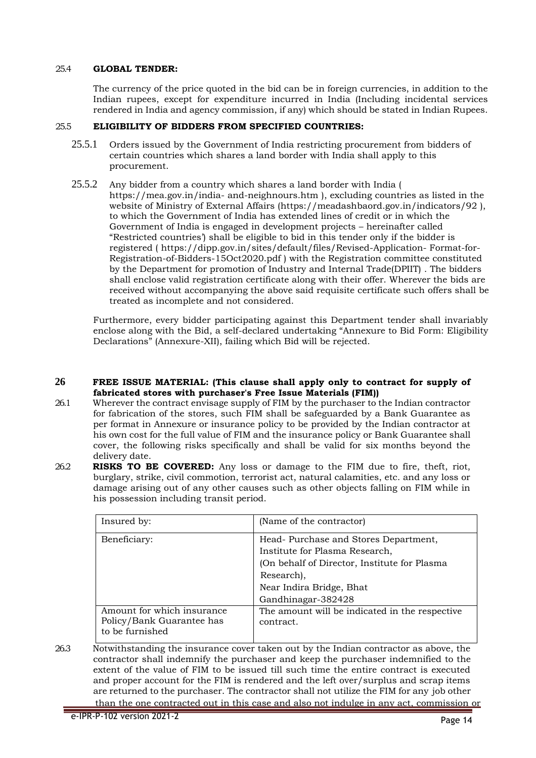#### 25.4 **GLOBAL TENDER:**

The currency of the price quoted in the bid can be in foreign currencies, in addition to the Indian rupees, except for expenditure incurred in India (Including incidental services rendered in India and agency commission, if any) which should be stated in Indian Rupees.

#### 25.5 **ELIGIBILITY OF BIDDERS FROM SPECIFIED COUNTRIES:**

- 25.5.1 Orders issued by the Government of India restricting procurement from bidders of certain countries which shares a land border with India shall apply to this procurement.
- 25.5.2 Any bidder from a country which shares a land border with India ( https://mea.gov.in/india- and-neighnours.htm ), excluding countries as listed in the website of Ministry of External Affairs (https://meadashbaord.gov.in/indicators/92 ), to which the Government of India has extended lines of credit or in which the Government of India is engaged in development projects – hereinafter called "Restricted countries') shall be eligible to bid in this tender only if the bidder is registered ( https://dipp.gov.in/sites/default/files/Revised-Application- Format-for-Registration-of-Bidders-15Oct2020.pdf ) with the Registration committee constituted by the Department for promotion of Industry and Internal Trade(DPIIT) . The bidders shall enclose valid registration certificate along with their offer. Wherever the bids are received without accompanying the above said requisite certificate such offers shall be treated as incomplete and not considered.

Furthermore, every bidder participating against this Department tender shall invariably enclose along with the Bid, a self-declared undertaking "Annexure to Bid Form: Eligibility Declarations" (Annexure-XII), failing which Bid will be rejected.

#### **26 FREE ISSUE MATERIAL: (This clause shall apply only to contract for supply of fabricated stores with purchaser's Free Issue Materials (FIM))**

- 26.1 Wherever the contract envisage supply of FIM by the purchaser to the Indian contractor for fabrication of the stores, such FIM shall be safeguarded by a Bank Guarantee as per format in Annexure or insurance policy to be provided by the Indian contractor at his own cost for the full value of FIM and the insurance policy or Bank Guarantee shall cover, the following risks specifically and shall be valid for six months beyond the delivery date.
- 26.2 **RISKS TO BE COVERED:** Any loss or damage to the FIM due to fire, theft, riot, burglary, strike, civil commotion, terrorist act, natural calamities, etc. and any loss or damage arising out of any other causes such as other objects falling on FIM while in his possession including transit period.

| Insured by:                                                                | (Name of the contractor)                                                                                                                                         |
|----------------------------------------------------------------------------|------------------------------------------------------------------------------------------------------------------------------------------------------------------|
| Beneficiary:                                                               | Head-Purchase and Stores Department,<br>Institute for Plasma Research,<br>(On behalf of Director, Institute for Plasma<br>Research),<br>Near Indira Bridge, Bhat |
|                                                                            | Gandhinagar-382428                                                                                                                                               |
| Amount for which insurance<br>Policy/Bank Guarantee has<br>to be furnished | The amount will be indicated in the respective<br>contract.                                                                                                      |

26.3 Notwithstanding the insurance cover taken out by the Indian contractor as above, the contractor shall indemnify the purchaser and keep the purchaser indemnified to the extent of the value of FIM to be issued till such time the entire contract is executed and proper account for the FIM is rendered and the left over/surplus and scrap items are returned to the purchaser. The contractor shall not utilize the FIM for any job other than the one contracted out in this case and also not indulge in any act, commission or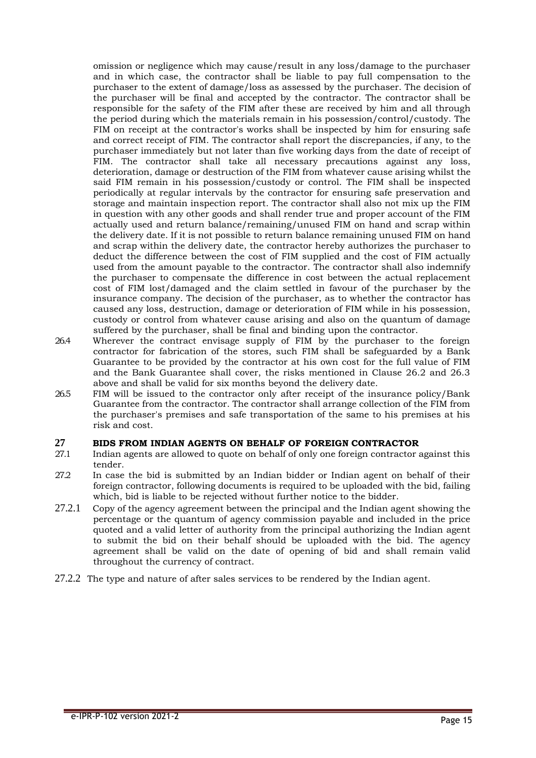omission or negligence which may cause/result in any loss/damage to the purchaser and in which case, the contractor shall be liable to pay full compensation to the purchaser to the extent of damage/loss as assessed by the purchaser. The decision of the purchaser will be final and accepted by the contractor. The contractor shall be responsible for the safety of the FIM after these are received by him and all through the period during which the materials remain in his possession/control/custody. The FIM on receipt at the contractor's works shall be inspected by him for ensuring safe and correct receipt of FIM. The contractor shall report the discrepancies, if any, to the purchaser immediately but not later than five working days from the date of receipt of FIM. The contractor shall take all necessary precautions against any loss, deterioration, damage or destruction of the FIM from whatever cause arising whilst the said FIM remain in his possession/custody or control. The FIM shall be inspected periodically at regular intervals by the contractor for ensuring safe preservation and storage and maintain inspection report. The contractor shall also not mix up the FIM in question with any other goods and shall render true and proper account of the FIM actually used and return balance/remaining/unused FIM on hand and scrap within the delivery date. If it is not possible to return balance remaining unused FIM on hand and scrap within the delivery date, the contractor hereby authorizes the purchaser to deduct the difference between the cost of FIM supplied and the cost of FIM actually used from the amount payable to the contractor. The contractor shall also indemnify the purchaser to compensate the difference in cost between the actual replacement cost of FIM lost/damaged and the claim settled in favour of the purchaser by the insurance company. The decision of the purchaser, as to whether the contractor has caused any loss, destruction, damage or deterioration of FIM while in his possession, custody or control from whatever cause arising and also on the quantum of damage suffered by the purchaser, shall be final and binding upon the contractor.

- 26.4 Wherever the contract envisage supply of FIM by the purchaser to the foreign contractor for fabrication of the stores, such FIM shall be safeguarded by a Bank Guarantee to be provided by the contractor at his own cost for the full value of FIM and the Bank Guarantee shall cover, the risks mentioned in Clause 26.2 and 26.3 above and shall be valid for six months beyond the delivery date.
- 26.5 FIM will be issued to the contractor only after receipt of the insurance policy/Bank Guarantee from the contractor. The contractor shall arrange collection of the FIM from the purchaser's premises and safe transportation of the same to his premises at his risk and cost.

# **27 BIDS FROM INDIAN AGENTS ON BEHALF OF FOREIGN CONTRACTOR**<br>27.1 Indian agents are allowed to quote on behalf of only one foreign contractor a

- Indian agents are allowed to quote on behalf of only one foreign contractor against this tender.
- 27.2 In case the bid is submitted by an Indian bidder or Indian agent on behalf of their foreign contractor, following documents is required to be uploaded with the bid, failing which, bid is liable to be rejected without further notice to the bidder.
- 27.2.1 Copy of the agency agreement between the principal and the Indian agent showing the percentage or the quantum of agency commission payable and included in the price quoted and a valid letter of authority from the principal authorizing the Indian agent to submit the bid on their behalf should be uploaded with the bid. The agency agreement shall be valid on the date of opening of bid and shall remain valid throughout the currency of contract.
- 27.2.2 The type and nature of after sales services to be rendered by the Indian agent.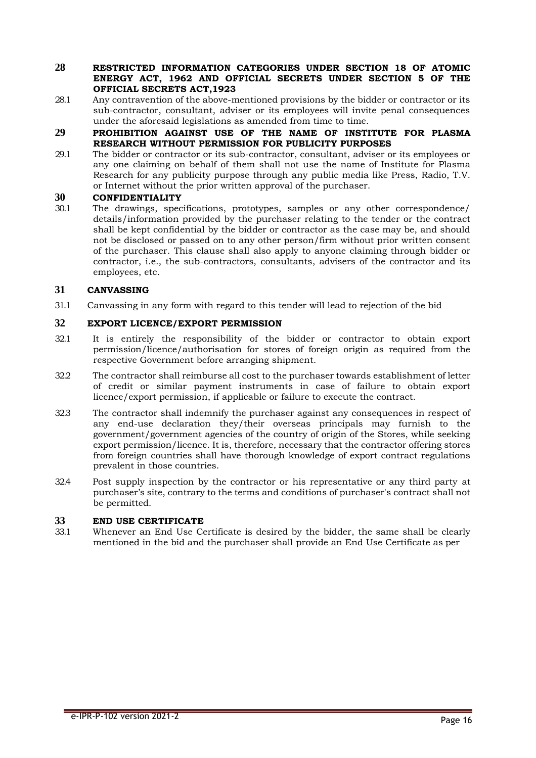#### **28 RESTRICTED INFORMATION CATEGORIES UNDER SECTION 18 OF ATOMIC ENERGY ACT, 1962 AND OFFICIAL SECRETS UNDER SECTION 5 OF THE OFFICIAL SECRETS ACT,1923**

- 28.1 Any contravention of the above-mentioned provisions by the bidder or contractor or its sub-contractor, consultant, adviser or its employees will invite penal consequences under the aforesaid legislations as amended from time to time.
- **29 PROHIBITION AGAINST USE OF THE NAME OF INSTITUTE FOR PLASMA RESEARCH WITHOUT PERMISSION FOR PUBLICITY PURPOSES**
- 29.1 The bidder or contractor or its sub-contractor, consultant, adviser or its employees or any one claiming on behalf of them shall not use the name of Institute for Plasma Research for any publicity purpose through any public media like Press, Radio, T.V. or Internet without the prior written approval of the purchaser.

# <span id="page-16-0"></span>**30 CONFIDENTIALITY**<br>301 The drawings spec

The drawings, specifications, prototypes, samples or any other correspondence/ details/information provided by the purchaser relating to the tender or the contract shall be kept confidential by the bidder or contractor as the case may be, and should not be disclosed or passed on to any other person/firm without prior written consent of the purchaser. This clause shall also apply to anyone claiming through bidder or contractor, i.e., the sub-contractors, consultants, advisers of the contractor and its employees, etc.

# <span id="page-16-1"></span>**31 CANVASSING**

31.1 Canvassing in any form with regard to this tender will lead to rejection of the bid

# <span id="page-16-2"></span>**32 EXPORT LICENCE/EXPORT PERMISSION**

- 32.1 It is entirely the responsibility of the bidder or contractor to obtain export permission/licence/authorisation for stores of foreign origin as required from the respective Government before arranging shipment.
- 32.2 The contractor shall reimburse all cost to the purchaser towards establishment of letter of credit or similar payment instruments in case of failure to obtain export licence/export permission, if applicable or failure to execute the contract.
- 32.3 The contractor shall indemnify the purchaser against any consequences in respect of any end-use declaration they/their overseas principals may furnish to the government/government agencies of the country of origin of the Stores, while seeking export permission/licence. It is, therefore, necessary that the contractor offering stores from foreign countries shall have thorough knowledge of export contract regulations prevalent in those countries.
- 32.4 Post supply inspection by the contractor or his representative or any third party at purchaser's site, contrary to the terms and conditions of purchaser's contract shall not be permitted.

#### <span id="page-16-3"></span>**33 END USE CERTIFICATE**

33.1 Whenever an End Use Certificate is desired by the bidder, the same shall be clearly mentioned in the bid and the purchaser shall provide an End Use Certificate as per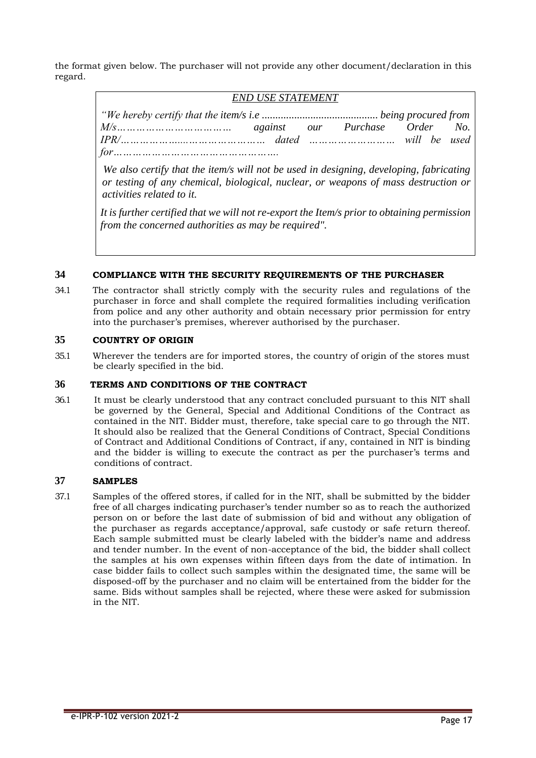the format given below. The purchaser will not provide any other document/declaration in this regard.

# *END USE STATEMENT*

*"We hereby certify that the item/s i.e ........................................... being procured from M/s……………………………… against our Purchase Order No. IPR/………………....…………………… dated ……………………… will be used for…………………………………………….*

*We also certify that the item/s will not be used in designing, developing, fabricating or testing of any chemical, biological, nuclear, or weapons of mass destruction or activities related to it.*

*It is further certified that we will not re-export the Item/s prior to obtaining permission from the concerned authorities as may be required".*

# **34 COMPLIANCE WITH THE SECURITY REQUIREMENTS OF THE PURCHASER**

34.1 The contractor shall strictly comply with the security rules and regulations of the purchaser in force and shall complete the required formalities including verification from police and any other authority and obtain necessary prior permission for entry into the purchaser's premises, wherever authorised by the purchaser.

# <span id="page-17-0"></span>**35 COUNTRY OF ORIGIN**

35.1 Wherever the tenders are for imported stores, the country of origin of the stores must be clearly specified in the bid.

# **36 TERMS AND CONDITIONS OF THE CONTRACT**

36.1 It must be clearly understood that any contract concluded pursuant to this NIT shall be governed by the General, Special and Additional Conditions of the Contract as contained in the NIT. Bidder must, therefore, take special care to go through the NIT. It should also be realized that the General Conditions of Contract, Special Conditions of Contract and Additional Conditions of Contract, if any, contained in NIT is binding and the bidder is willing to execute the contract as per the purchaser's terms and conditions of contract.

# <span id="page-17-1"></span>**37 SAMPLES**

37.1 Samples of the offered stores, if called for in the NIT, shall be submitted by the bidder free of all charges indicating purchaser's tender number so as to reach the authorized person on or before the last date of submission of bid and without any obligation of the purchaser as regards acceptance/approval, safe custody or safe return thereof. Each sample submitted must be clearly labeled with the bidder's name and address and tender number. In the event of non-acceptance of the bid, the bidder shall collect the samples at his own expenses within fifteen days from the date of intimation. In case bidder fails to collect such samples within the designated time, the same will be disposed-off by the purchaser and no claim will be entertained from the bidder for the same. Bids without samples shall be rejected, where these were asked for submission in the NIT.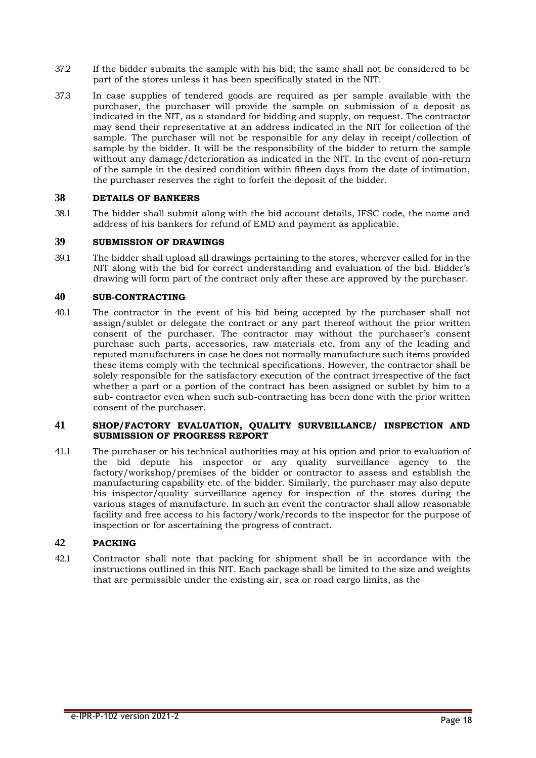- 37.2 If the bidder submits the sample with his bid; the same shall not be considered to be part of the stores unless it has been specifically stated in the NIT.
- 37.3 In case supplies of tendered goods are required as per sample available with the purchaser, the purchaser will provide the sample on submission of a deposit as indicated in the NIT, as a standard for bidding and supply, on request. The contractor may send their representative at an address indicated in the NIT for collection of the sample. The purchaser will not be responsible for any delay in receipt/collection of sample by the bidder. It will be the responsibility of the bidder to return the sample without any damage/deterioration as indicated in the NIT. In the event of non-return of the sample in the desired condition within fifteen days from the date of intimation, the purchaser reserves the right to forfeit the deposit of the bidder.

# <span id="page-18-0"></span>**38 DETAILS OF BANKERS**

<span id="page-18-1"></span>38.1 The bidder shall submit along with the bid account details, IFSC code, the name and address of his bankers for refund of EMD and payment as applicable.

# **39 SUBMISSION OF DRAWINGS**

39.1 The bidder shall upload all drawings pertaining to the stores, wherever called for in the NIT along with the bid for correct understanding and evaluation of the bid. Bidder's drawing will form part of the contract only after these are approved by the purchaser.

# <span id="page-18-2"></span>**40 SUB-CONTRACTING**

40.1 The contractor in the event of his bid being accepted by the purchaser shall not assign/sublet or delegate the contract or any part thereof without the prior written consent of the purchaser. The contractor may without the purchaser's consent purchase such parts, accessories, raw materials etc. from any of the leading and reputed manufacturers in case he does not normally manufacture such items provided these items comply with the technical specifications. However, the contractor shall be solely responsible for the satisfactory execution of the contract irrespective of the fact whether a part or a portion of the contract has been assigned or sublet by him to a sub- contractor even when such sub-contracting has been done with the prior written consent of the purchaser.

#### **41 SHOP/FACTORY EVALUATION, QUALITY SURVEILLANCE/ INSPECTION AND SUBMISSION OF PROGRESS REPORT**

41.1 The purchaser or his technical authorities may at his option and prior to evaluation of the bid depute his inspector or any quality surveillance agency to the factory/workshop/premises of the bidder or contractor to assess and establish the manufacturing capability etc. of the bidder. Similarly, the purchaser may also depute his inspector/quality surveillance agency for inspection of the stores during the various stages of manufacture. In such an event the contractor shall allow reasonable facility and free access to his factory/work/records to the inspector for the purpose of inspection or for ascertaining the progress of contract.

#### <span id="page-18-3"></span>**42 PACKING**

42.1 Contractor shall note that packing for shipment shall be in accordance with the instructions outlined in this NIT. Each package shall be limited to the size and weights that are permissible under the existing air, sea or road cargo limits, as the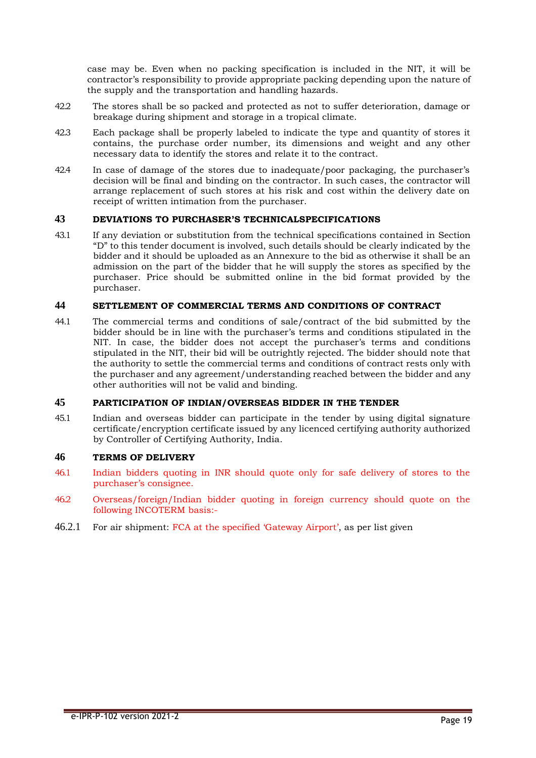case may be. Even when no packing specification is included in the NIT, it will be contractor's responsibility to provide appropriate packing depending upon the nature of the supply and the transportation and handling hazards.

- 42.2 The stores shall be so packed and protected as not to suffer deterioration, damage or breakage during shipment and storage in a tropical climate.
- 42.3 Each package shall be properly labeled to indicate the type and quantity of stores it contains, the purchase order number, its dimensions and weight and any other necessary data to identify the stores and relate it to the contract.
- 42.4 In case of damage of the stores due to inadequate/poor packaging, the purchaser's decision will be final and binding on the contractor. In such cases, the contractor will arrange replacement of such stores at his risk and cost within the delivery date on receipt of written intimation from the purchaser.

#### **43 DEVIATIONS TO PURCHASER'S TECHNICALSPECIFICATIONS**

43.1 If any deviation or substitution from the technical specifications contained in Section "D" to this tender document is involved, such details should be clearly indicated by the bidder and it should be uploaded as an Annexure to the bid as otherwise it shall be an admission on the part of the bidder that he will supply the stores as specified by the purchaser. Price should be submitted online in the bid format provided by the purchaser.

# **44 SETTLEMENT OF COMMERCIAL TERMS AND CONDITIONS OF CONTRACT**

44.1 The commercial terms and conditions of sale/contract of the bid submitted by the bidder should be in line with the purchaser's terms and conditions stipulated in the NIT. In case, the bidder does not accept the purchaser's terms and conditions stipulated in the NIT, their bid will be outrightly rejected. The bidder should note that the authority to settle the commercial terms and conditions of contract rests only with the purchaser and any agreement/understanding reached between the bidder and any other authorities will not be valid and binding.

#### **45 PARTICIPATION OF INDIAN/OVERSEAS BIDDER IN THE TENDER**

45.1 Indian and overseas bidder can participate in the tender by using digital signature certificate/encryption certificate issued by any licenced certifying authority authorized by Controller of Certifying Authority, India.

#### **46 TERMS OF DELIVERY**

- 46.1 Indian bidders quoting in INR should quote only for safe delivery of stores to the purchaser's consignee.
- 46.2 Overseas/foreign/Indian bidder quoting in foreign currency should quote on the following INCOTERM basis:-
- 46.2.1 For air shipment: FCA at the specified 'Gateway Airport', as per list given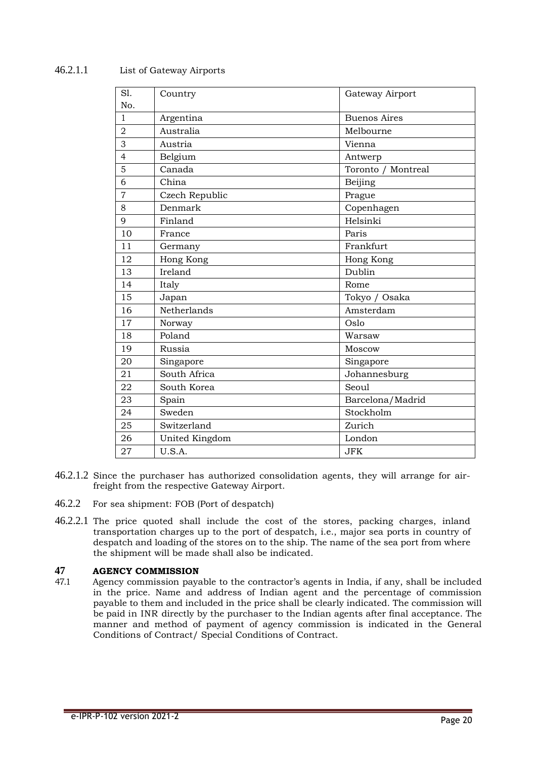# 46.2.1.1 List of Gateway Airports

| S1.            | Country        | Gateway Airport     |
|----------------|----------------|---------------------|
| No.            |                |                     |
| $\mathbf{1}$   | Argentina      | <b>Buenos Aires</b> |
| $\overline{2}$ | Australia      | Melbourne           |
| 3              | Austria        | Vienna              |
| $\overline{4}$ | Belgium        | Antwerp             |
| 5              | Canada         | Toronto / Montreal  |
| 6              | China          | Beijing             |
| $\overline{7}$ | Czech Republic | Prague              |
| 8              | Denmark        | Copenhagen          |
| 9              | Finland        | Helsinki            |
| 10             | France         | Paris               |
| 11             | Germany        | Frankfurt           |
| 12             | Hong Kong      | Hong Kong           |
| 13             | Ireland        | Dublin              |
| 14             | Italy          | Rome                |
| 15             | Japan          | Tokyo / Osaka       |
| 16             | Netherlands    | Amsterdam           |
| 17             | Norway         | Oslo                |
| 18             | Poland         | Warsaw              |
| 19             | Russia         | Moscow              |
| 20             | Singapore      | Singapore           |
| 21             | South Africa   | Johannesburg        |
| 22             | South Korea    | Seoul               |
| 23             | Spain          | Barcelona/Madrid    |
| 24             | Sweden         | Stockholm           |
| 25             | Switzerland    | Zurich              |
| 26             | United Kingdom | London              |
| 27             | U.S.A.         | <b>JFK</b>          |

- 46.2.1.2 Since the purchaser has authorized consolidation agents, they will arrange for airfreight from the respective Gateway Airport.
- 46.2.2 For sea shipment: FOB (Port of despatch)
- 46.2.2.1 The price quoted shall include the cost of the stores, packing charges, inland transportation charges up to the port of despatch, i.e., major sea ports in country of despatch and loading of the stores on to the ship. The name of the sea port from where the shipment will be made shall also be indicated.

# <span id="page-20-0"></span>**47 AGENCY COMMISSION**

47.1 Agency commission payable to the contractor's agents in India, if any, shall be included in the price. Name and address of Indian agent and the percentage of commission payable to them and included in the price shall be clearly indicated. The commission will be paid in INR directly by the purchaser to the Indian agents after final acceptance. The manner and method of payment of agency commission is indicated in the General Conditions of Contract/ Special Conditions of Contract.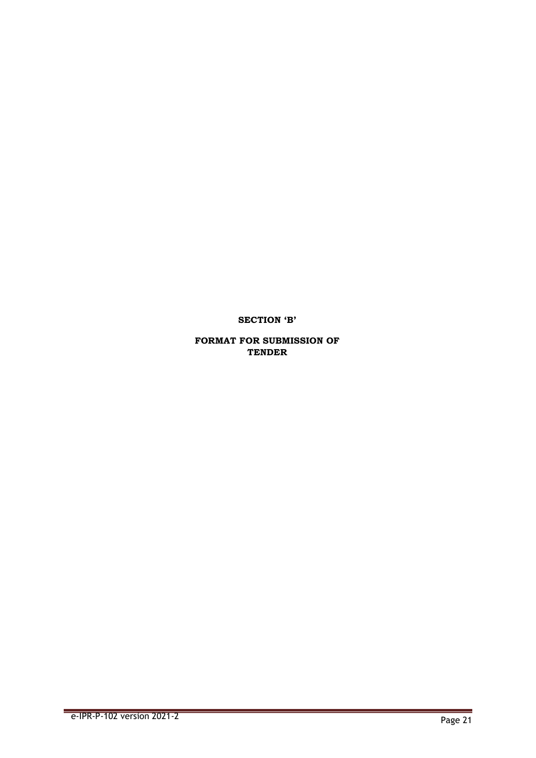**SECTION 'B'**

**FORMAT FOR SUBMISSION OF TENDER**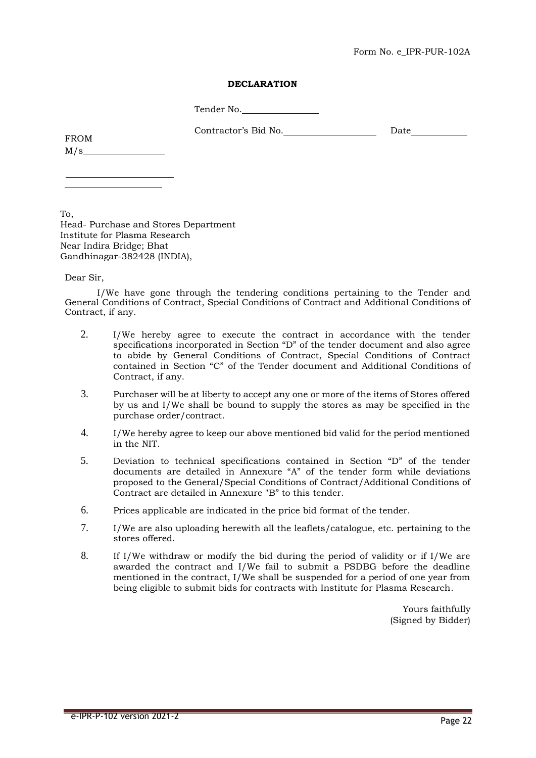#### Form No. e\_IPR-PUR-102A

#### **DECLARATION**

Tender No.

Contractor's Bid No. Date

FROM  $M/s$ 

To, Head- Purchase and Stores Department Institute for Plasma Research Near Indira Bridge; Bhat Gandhinagar-382428 (INDIA),

Dear Sir,

I/We have gone through the tendering conditions pertaining to the Tender and General Conditions of Contract, Special Conditions of Contract and Additional Conditions of Contract, if any.

- 2. I/We hereby agree to execute the contract in accordance with the tender specifications incorporated in Section "D" of the tender document and also agree to abide by General Conditions of Contract, Special Conditions of Contract contained in Section "C" of the Tender document and Additional Conditions of Contract, if any.
- 3. Purchaser will be at liberty to accept any one or more of the items of Stores offered by us and I/We shall be bound to supply the stores as may be specified in the purchase order/contract.
- 4. I/We hereby agree to keep our above mentioned bid valid for the period mentioned in the NIT.
- 5. Deviation to technical specifications contained in Section "D" of the tender documents are detailed in Annexure "A" of the tender form while deviations proposed to the General/Special Conditions of Contract/Additional Conditions of Contract are detailed in Annexure "B" to this tender.
- 6. Prices applicable are indicated in the price bid format of the tender.
- 7. I/We are also uploading herewith all the leaflets/catalogue, etc. pertaining to the stores offered.
- 8. If I/We withdraw or modify the bid during the period of validity or if I/We are awarded the contract and I/We fail to submit a PSDBG before the deadline mentioned in the contract, I/We shall be suspended for a period of one year from being eligible to submit bids for contracts with Institute for Plasma Research.

Yours faithfully (Signed by Bidder)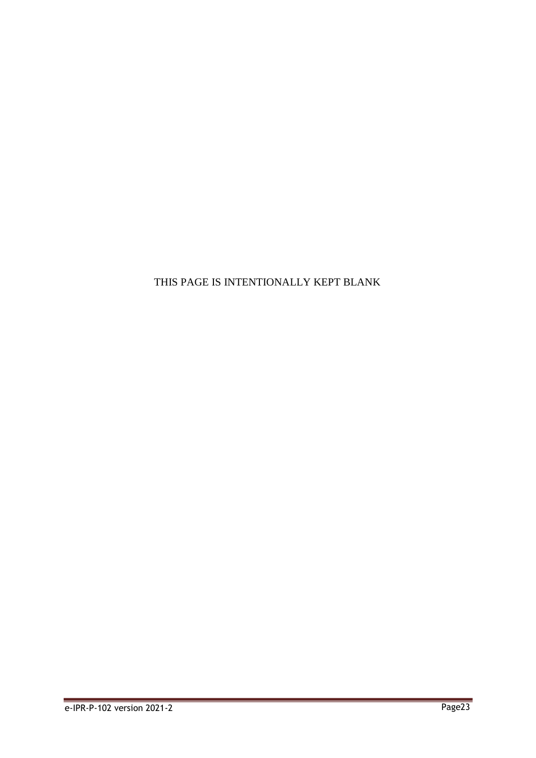THIS PAGE IS INTENTIONALLY KEPT BLANK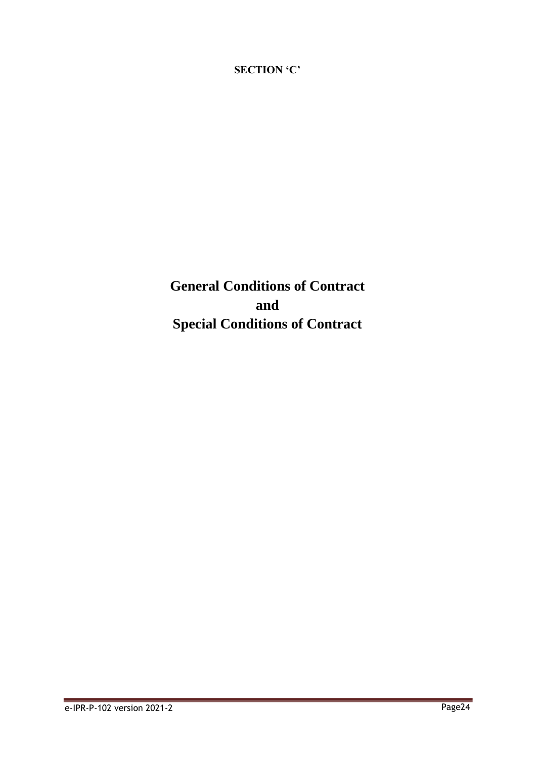**SECTION 'C'**

**General Conditions of Contract and Special Conditions of Contract**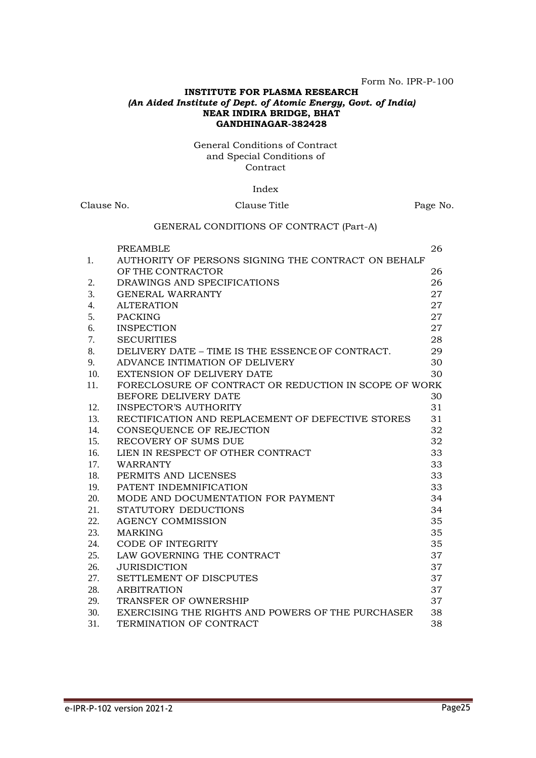#### Form No. IPR-P-100

#### **INSTITUTE FOR PLASMA RESEARCH** *(An Aided Institute of Dept. of Atomic Energy, Govt. of India)* **NEAR INDIRA BRIDGE, BHAT GANDHINAGAR-382428**

#### General Conditions of Contract and Special Conditions of **Contract**

#### Index

# Clause No. Clause Title Page No. GENERAL CONDITIONS OF CONTRACT (Part-A) PREAMBLE 26 1. AUTHORITY OF PERSONS SIGNING THE CONTRACT ON BEHALF OF THE CONTRACTOR 26 2. DRAWINGS AND SPECIFICATIONS 26 3. GENERAL WARRANTY 27 4. ALTERATION 27 5. PACKING 27 6. INSPECTION 27 7. SECURITIES 28 8. DELIVERY DATE – TIME IS THE ESSENCE OF CONTRACT. 29 9. ADVANCE INTIMATION OF DELIVERY 30 10. EXTENSION OF DELIVERY DATE 30 11. FORECLOSURE OF CONTRACT OR REDUCTION IN SCOPE OF WORK BEFORE DELIVERY DATE 30 12. INSPECTOR'S AUTHORITY 31 13. RECTIFICATION AND REPLACEMENT OF DEFECTIVE STORES 31 14. CONSEQUENCE OF REJECTION 32 15. RECOVERY OF SUMS DUE 32 16. LIEN IN RESPECT OF OTHER CONTRACT 33 17. WARRANTY 33 18. PERMITS AND LICENSES 33 19. PATENT INDEMNIFICATION 33 20. MODE AND DOCUMENTATION FOR PAYMENT 34 21. STATUTORY DEDUCTIONS 34 22. AGENCY COMMISSION 35

23. MARKING 35 24. CODE OF INTEGRITY 35 25. LAW GOVERNING THE CONTRACT 37 26. JURISDICTION 37 27. SETTLEMENT OF DISCPUTES 37 28. ARBITRATION 37 29. TRANSFER OF OWNERSHIP 37 30. EXERCISING THE RIGHTS AND POWERS OF THE PURCHASER 38 31. TERMINATION OF CONTRACT 38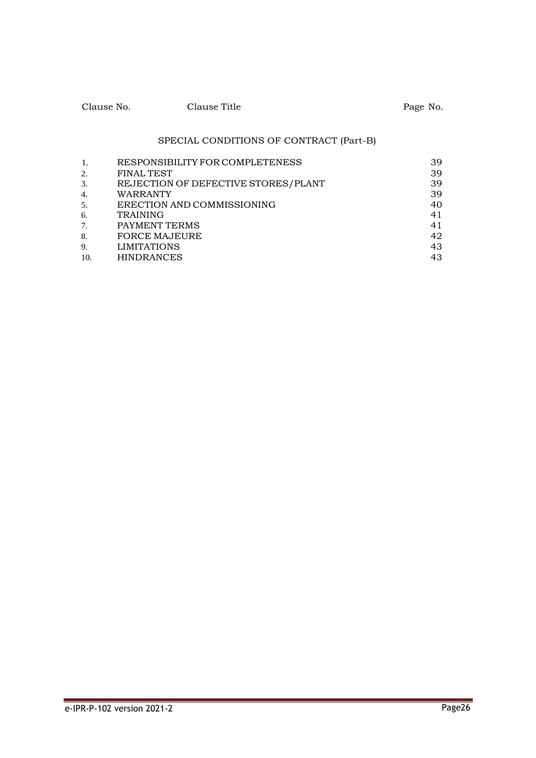| Clause No. | Clause Title | Page No. |
|------------|--------------|----------|
|            |              |          |

# SPECIAL CONDITIONS OF CONTRACT (Part-B)

| 1.               | RESPONSIBILITY FOR COMPLETENESS     | 39 |
|------------------|-------------------------------------|----|
| 2.               | <b>FINAL TEST</b>                   | 39 |
| 3.               | REJECTION OF DEFECTIVE STORES/PLANT | 39 |
| $\overline{4}$ . | WARRANTY                            | 39 |
| 5.               | ERECTION AND COMMISSIONING          | 40 |
| 6.               | <b>TRAINING</b>                     | 41 |
| 7.               | PAYMENT TERMS                       | 41 |
| 8.               | <b>FORCE MAJEURE</b>                | 42 |
| 9.               | <b>LIMITATIONS</b>                  | 43 |
| 10.              | <b>HINDRANCES</b>                   | 43 |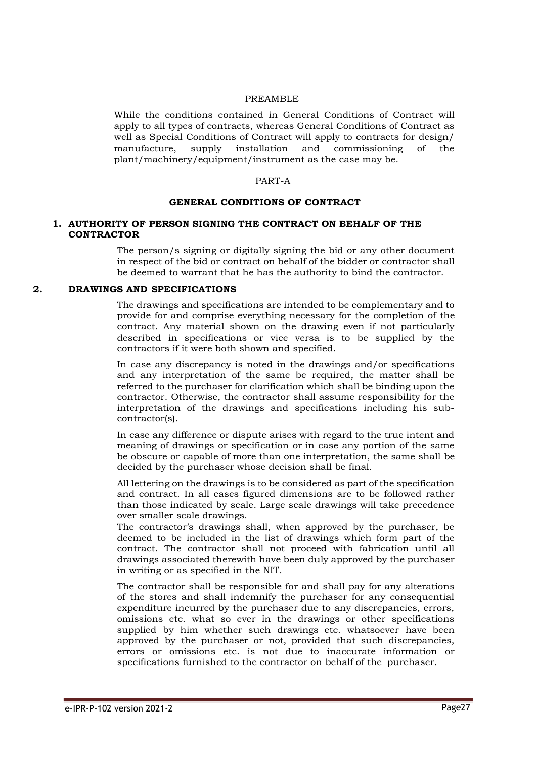#### PREAMBLE

While the conditions contained in General Conditions of Contract will apply to all types of contracts, whereas General Conditions of Contract as well as Special Conditions of Contract will apply to contracts for design/ manufacture, supply installation and commissioning of the plant/machinery/equipment/instrument as the case may be.

#### PART-A

#### **GENERAL CONDITIONS OF CONTRACT**

#### **1. AUTHORITY OF PERSON SIGNING THE CONTRACT ON BEHALF OF THE CONTRACTOR**

The person/s signing or digitally signing the bid or any other document in respect of the bid or contract on behalf of the bidder or contractor shall be deemed to warrant that he has the authority to bind the contractor.

#### **2. DRAWINGS AND SPECIFICATIONS**

The drawings and specifications are intended to be complementary and to provide for and comprise everything necessary for the completion of the contract. Any material shown on the drawing even if not particularly described in specifications or vice versa is to be supplied by the contractors if it were both shown and specified.

In case any discrepancy is noted in the drawings and/or specifications and any interpretation of the same be required, the matter shall be referred to the purchaser for clarification which shall be binding upon the contractor. Otherwise, the contractor shall assume responsibility for the interpretation of the drawings and specifications including his subcontractor(s).

In case any difference or dispute arises with regard to the true intent and meaning of drawings or specification or in case any portion of the same be obscure or capable of more than one interpretation, the same shall be decided by the purchaser whose decision shall be final.

All lettering on the drawings is to be considered as part of the specification and contract. In all cases figured dimensions are to be followed rather than those indicated by scale. Large scale drawings will take precedence over smaller scale drawings.

The contractor's drawings shall, when approved by the purchaser, be deemed to be included in the list of drawings which form part of the contract. The contractor shall not proceed with fabrication until all drawings associated therewith have been duly approved by the purchaser in writing or as specified in the NIT.

The contractor shall be responsible for and shall pay for any alterations of the stores and shall indemnify the purchaser for any consequential expenditure incurred by the purchaser due to any discrepancies, errors, omissions etc. what so ever in the drawings or other specifications supplied by him whether such drawings etc. whatsoever have been approved by the purchaser or not, provided that such discrepancies, errors or omissions etc. is not due to inaccurate information or specifications furnished to the contractor on behalf of the purchaser.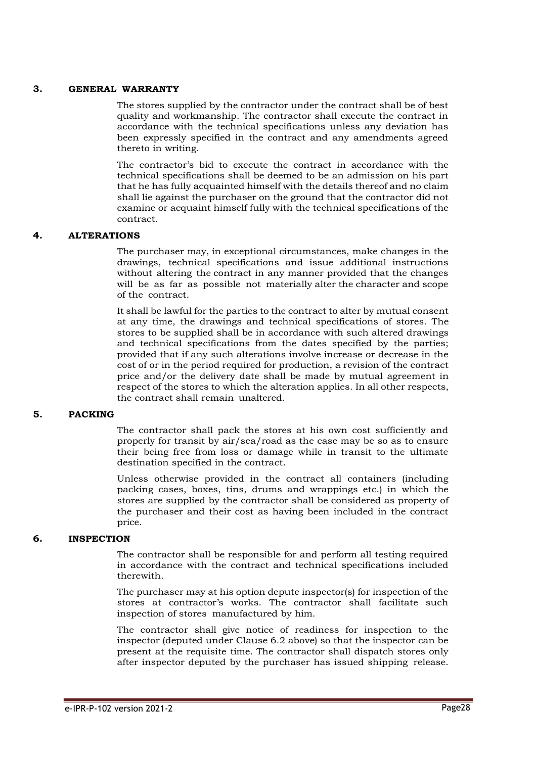#### **3. GENERAL WARRANTY**

The stores supplied by the contractor under the contract shall be of best quality and workmanship. The contractor shall execute the contract in accordance with the technical specifications unless any deviation has been expressly specified in the contract and any amendments agreed thereto in writing.

The contractor's bid to execute the contract in accordance with the technical specifications shall be deemed to be an admission on his part that he has fully acquainted himself with the details thereof and no claim shall lie against the purchaser on the ground that the contractor did not examine or acquaint himself fully with the technical specifications of the contract.

#### **4. ALTERATIONS**

The purchaser may, in exceptional circumstances, make changes in the drawings, technical specifications and issue additional instructions without altering the contract in any manner provided that the changes will be as far as possible not materially alter the character and scope of the contract.

It shall be lawful for the parties to the contract to alter by mutual consent at any time, the drawings and technical specifications of stores. The stores to be supplied shall be in accordance with such altered drawings and technical specifications from the dates specified by the parties; provided that if any such alterations involve increase or decrease in the cost of or in the period required for production, a revision of the contract price and/or the delivery date shall be made by mutual agreement in respect of the stores to which the alteration applies. In all other respects, the contract shall remain unaltered.

#### **5. PACKING**

The contractor shall pack the stores at his own cost sufficiently and properly for transit by air/sea/road as the case may be so as to ensure their being free from loss or damage while in transit to the ultimate destination specified in the contract.

Unless otherwise provided in the contract all containers (including packing cases, boxes, tins, drums and wrappings etc.) in which the stores are supplied by the contractor shall be considered as property of the purchaser and their cost as having been included in the contract price.

#### **6. INSPECTION**

The contractor shall be responsible for and perform all testing required in accordance with the contract and technical specifications included therewith.

The purchaser may at his option depute inspector(s) for inspection of the stores at contractor's works. The contractor shall facilitate such inspection of stores manufactured by him.

The contractor shall give notice of readiness for inspection to the inspector (deputed under Clause 6.2 above) so that the inspector can be present at the requisite time. The contractor shall dispatch stores only after inspector deputed by the purchaser has issued shipping release.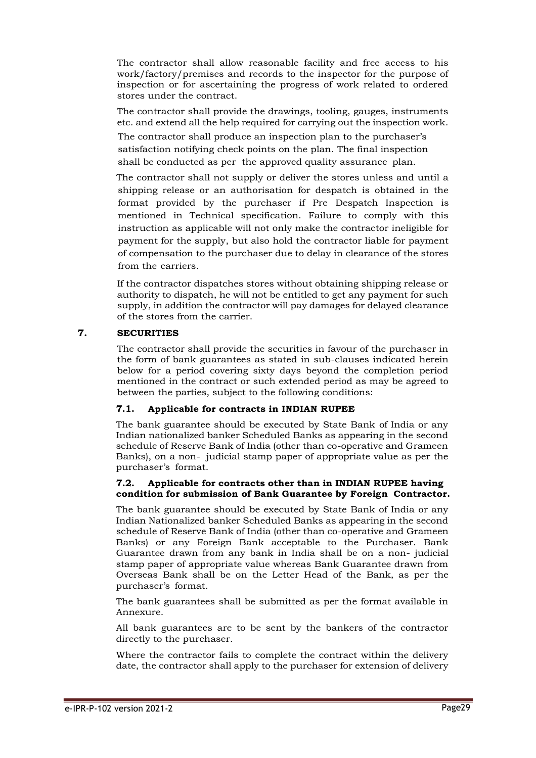The contractor shall allow reasonable facility and free access to his work/factory/premises and records to the inspector for the purpose of inspection or for ascertaining the progress of work related to ordered stores under the contract.

The contractor shall provide the drawings, tooling, gauges, instruments etc. and extend all the help required for carrying out the inspection work.

The contractor shall produce an inspection plan to the purchaser's satisfaction notifying check points on the plan. The final inspection shall be conducted as per the approved quality assurance plan.

The contractor shall not supply or deliver the stores unless and until a shipping release or an authorisation for despatch is obtained in the format provided by the purchaser if Pre Despatch Inspection is mentioned in Technical specification. Failure to comply with this instruction as applicable will not only make the contractor ineligible for payment for the supply, but also hold the contractor liable for payment of compensation to the purchaser due to delay in clearance of the stores from the carriers.

If the contractor dispatches stores without obtaining shipping release or authority to dispatch, he will not be entitled to get any payment for such supply, in addition the contractor will pay damages for delayed clearance of the stores from the carrier.

# **7. SECURITIES**

The contractor shall provide the securities in favour of the purchaser in the form of bank guarantees as stated in sub-clauses indicated herein below for a period covering sixty days beyond the completion period mentioned in the contract or such extended period as may be agreed to between the parties, subject to the following conditions:

# **7.1. Applicable for contracts in INDIAN RUPEE**

The bank guarantee should be executed by State Bank of India or any Indian nationalized banker Scheduled Banks as appearing in the second schedule of Reserve Bank of India (other than co-operative and Grameen Banks), on a non- judicial stamp paper of appropriate value as per the purchaser's format.

#### **7.2. Applicable for contracts other than in INDIAN RUPEE having condition for submission of Bank Guarantee by Foreign Contractor.**

The bank guarantee should be executed by State Bank of India or any Indian Nationalized banker Scheduled Banks as appearing in the second schedule of Reserve Bank of India (other than co-operative and Grameen Banks) or any Foreign Bank acceptable to the Purchaser. Bank Guarantee drawn from any bank in India shall be on a non- judicial stamp paper of appropriate value whereas Bank Guarantee drawn from Overseas Bank shall be on the Letter Head of the Bank, as per the purchaser's format.

The bank guarantees shall be submitted as per the format available in Annexure.

All bank guarantees are to be sent by the bankers of the contractor directly to the purchaser.

Where the contractor fails to complete the contract within the delivery date, the contractor shall apply to the purchaser for extension of delivery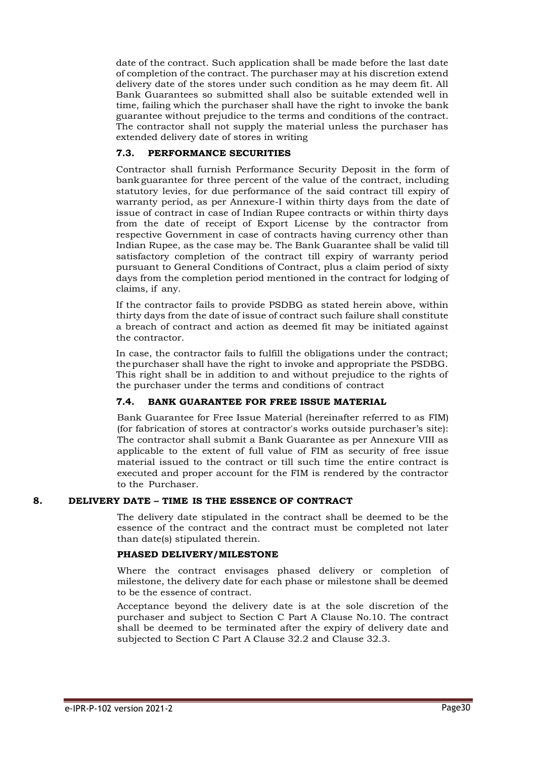date of the contract. Such application shall be made before the last date of completion of the contract. The purchaser may at his discretion extend delivery date of the stores under such condition as he may deem fit. All Bank Guarantees so submitted shall also be suitable extended well in time, failing which the purchaser shall have the right to invoke the bank guarantee without prejudice to the terms and conditions of the contract. The contractor shall not supply the material unless the purchaser has extended delivery date of stores in writing

# **7.3. PERFORMANCE SECURITIES**

Contractor shall furnish Performance Security Deposit in the form of bank guarantee for three percent of the value of the contract, including statutory levies, for due performance of the said contract till expiry of warranty period, as per Annexure-I within thirty days from the date of issue of contract in case of Indian Rupee contracts or within thirty days from the date of receipt of Export License by the contractor from respective Government in case of contracts having currency other than Indian Rupee, as the case may be. The Bank Guarantee shall be valid till satisfactory completion of the contract till expiry of warranty period pursuant to General Conditions of Contract, plus a claim period of sixty days from the completion period mentioned in the contract for lodging of claims, if any.

If the contractor fails to provide PSDBG as stated herein above, within thirty days from the date of issue of contract such failure shall constitute a breach of contract and action as deemed fit may be initiated against the contractor.

In case, the contractor fails to fulfill the obligations under the contract; thepurchaser shall have the right to invoke and appropriate the PSDBG. This right shall be in addition to and without prejudice to the rights of the purchaser under the terms and conditions of contract

# **7.4. BANK GUARANTEE FOR FREE ISSUE MATERIAL**

Bank Guarantee for Free Issue Material (hereinafter referred to as FIM) (for fabrication of stores at contractor's works outside purchaser's site): The contractor shall submit a Bank Guarantee as per Annexure VIII as applicable to the extent of full value of FIM as security of free issue material issued to the contract or till such time the entire contract is executed and proper account for the FIM is rendered by the contractor to the Purchaser.

#### **8. DELIVERY DATE – TIME IS THE ESSENCE OF CONTRACT**

The delivery date stipulated in the contract shall be deemed to be the essence of the contract and the contract must be completed not later than date(s) stipulated therein.

#### **PHASED DELIVERY/MILESTONE**

Where the contract envisages phased delivery or completion of milestone, the delivery date for each phase or milestone shall be deemed to be the essence of contract.

Acceptance beyond the delivery date is at the sole discretion of the purchaser and subject to Section C Part A Clause No.10. The contract shall be deemed to be terminated after the expiry of delivery date and subjected to Section C Part A Clause 32.2 and Clause 32.3.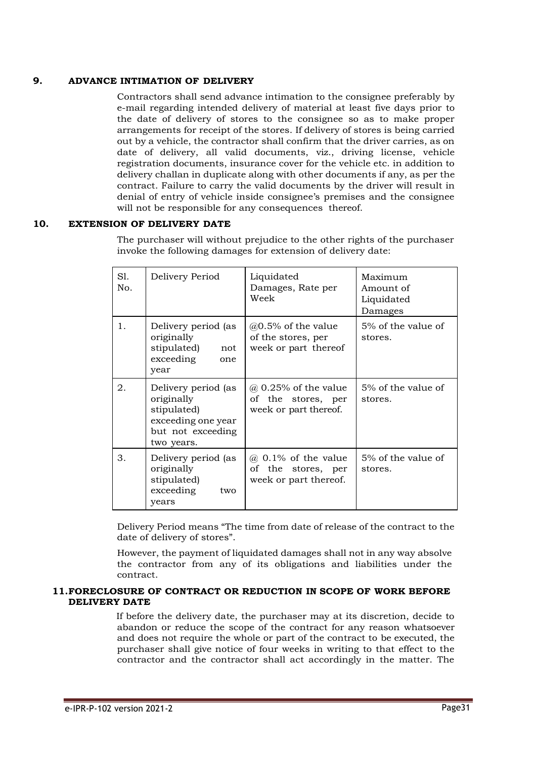# **9. ADVANCE INTIMATION OF DELIVERY**

Contractors shall send advance intimation to the consignee preferably by e-mail regarding intended delivery of material at least five days prior to the date of delivery of stores to the consignee so as to make proper arrangements for receipt of the stores. If delivery of stores is being carried out by a vehicle, the contractor shall confirm that the driver carries, as on date of delivery, all valid documents, viz., driving license, vehicle registration documents, insurance cover for the vehicle etc. in addition to delivery challan in duplicate along with other documents if any, as per the contract. Failure to carry the valid documents by the driver will result in denial of entry of vehicle inside consignee's premises and the consignee will not be responsible for any consequences thereof.

# **10. EXTENSION OF DELIVERY DATE**

The purchaser will without prejudice to the other rights of the purchaser invoke the following damages for extension of delivery date:

| S1.<br>No. | Delivery Period                                                                                           | Liquidated<br>Damages, Rate per<br>Week                                    | Maximum<br>Amount of<br>Liquidated<br>Damages |
|------------|-----------------------------------------------------------------------------------------------------------|----------------------------------------------------------------------------|-----------------------------------------------|
| 1.         | Delivery period (as<br>originally<br>stipulated)<br>not<br>exceeding<br>one<br>year                       | $@0.5\%$ of the value<br>of the stores, per<br>week or part thereof        | 5% of the value of<br>stores.                 |
| 2.         | Delivery period (as<br>originally<br>stipulated)<br>exceeding one year<br>but not exceeding<br>two years. | $\omega$ 0.25% of the value<br>of the stores, per<br>week or part thereof. | 5% of the value of<br>stores.                 |
| 3.         | Delivery period (as<br>originally<br>stipulated)<br>exceeding<br>two<br>years                             | $\omega$ 0.1% of the value<br>of the stores, per<br>week or part thereof.  | 5% of the value of<br>stores.                 |

Delivery Period means "The time from date of release of the contract to the date of delivery of stores".

However, the payment of liquidated damages shall not in any way absolve the contractor from any of its obligations and liabilities under the contract.

#### **11.FORECLOSURE OF CONTRACT OR REDUCTION IN SCOPE OF WORK BEFORE DELIVERY DATE**

If before the delivery date, the purchaser may at its discretion, decide to abandon or reduce the scope of the contract for any reason whatsoever and does not require the whole or part of the contract to be executed, the purchaser shall give notice of four weeks in writing to that effect to the contractor and the contractor shall act accordingly in the matter. The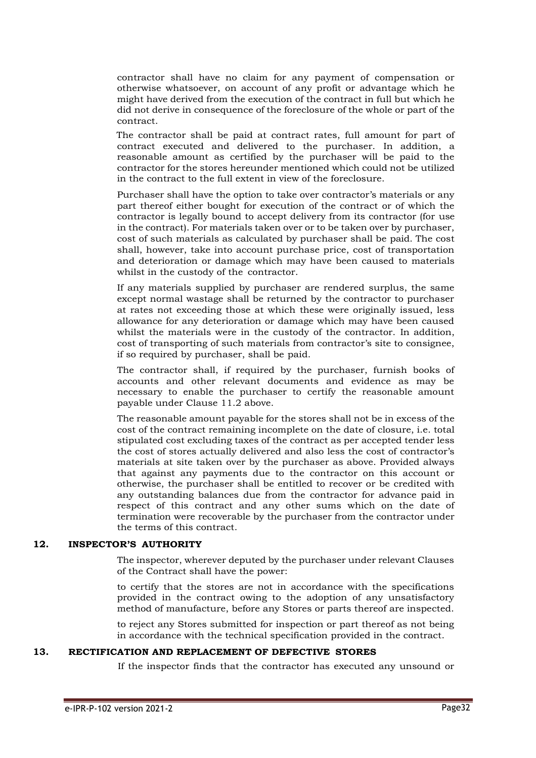contractor shall have no claim for any payment of compensation or otherwise whatsoever, on account of any profit or advantage which he might have derived from the execution of the contract in full but which he did not derive in consequence of the foreclosure of the whole or part of the contract.

The contractor shall be paid at contract rates, full amount for part of contract executed and delivered to the purchaser. In addition, a reasonable amount as certified by the purchaser will be paid to the contractor for the stores hereunder mentioned which could not be utilized in the contract to the full extent in view of the foreclosure.

Purchaser shall have the option to take over contractor's materials or any part thereof either bought for execution of the contract or of which the contractor is legally bound to accept delivery from its contractor (for use in the contract). For materials taken over or to be taken over by purchaser, cost of such materials as calculated by purchaser shall be paid. The cost shall, however, take into account purchase price, cost of transportation and deterioration or damage which may have been caused to materials whilst in the custody of the contractor.

If any materials supplied by purchaser are rendered surplus, the same except normal wastage shall be returned by the contractor to purchaser at rates not exceeding those at which these were originally issued, less allowance for any deterioration or damage which may have been caused whilst the materials were in the custody of the contractor. In addition, cost of transporting of such materials from contractor's site to consignee, if so required by purchaser, shall be paid.

The contractor shall, if required by the purchaser, furnish books of accounts and other relevant documents and evidence as may be necessary to enable the purchaser to certify the reasonable amount payable under Clause 11.2 above.

The reasonable amount payable for the stores shall not be in excess of the cost of the contract remaining incomplete on the date of closure, i.e. total stipulated cost excluding taxes of the contract as per accepted tender less the cost of stores actually delivered and also less the cost of contractor's materials at site taken over by the purchaser as above. Provided always that against any payments due to the contractor on this account or otherwise, the purchaser shall be entitled to recover or be credited with any outstanding balances due from the contractor for advance paid in respect of this contract and any other sums which on the date of termination were recoverable by the purchaser from the contractor under the terms of this contract.

#### **12. INSPECTOR'S AUTHORITY**

The inspector, wherever deputed by the purchaser under relevant Clauses of the Contract shall have the power:

to certify that the stores are not in accordance with the specifications provided in the contract owing to the adoption of any unsatisfactory method of manufacture, before any Stores or parts thereof are inspected.

to reject any Stores submitted for inspection or part thereof as not being in accordance with the technical specification provided in the contract.

#### **13. RECTIFICATION AND REPLACEMENT OF DEFECTIVE STORES**

If the inspector finds that the contractor has executed any unsound or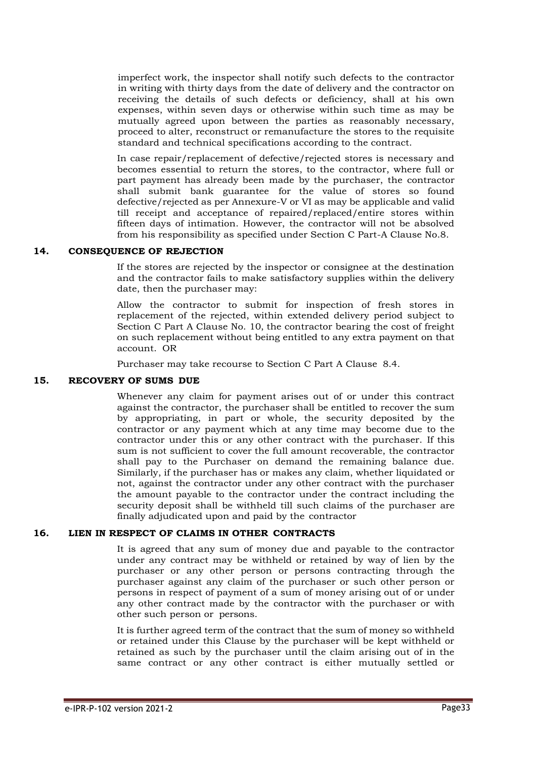imperfect work, the inspector shall notify such defects to the contractor in writing with thirty days from the date of delivery and the contractor on receiving the details of such defects or deficiency, shall at his own expenses, within seven days or otherwise within such time as may be mutually agreed upon between the parties as reasonably necessary, proceed to alter, reconstruct or remanufacture the stores to the requisite standard and technical specifications according to the contract.

In case repair/replacement of defective/rejected stores is necessary and becomes essential to return the stores, to the contractor, where full or part payment has already been made by the purchaser, the contractor shall submit bank guarantee for the value of stores so found defective/rejected as per Annexure-V or VI as may be applicable and valid till receipt and acceptance of repaired/replaced/entire stores within fifteen days of intimation. However, the contractor will not be absolved from his responsibility as specified under Section C Part-A Clause No.8.

#### **14. CONSEQUENCE OF REJECTION**

If the stores are rejected by the inspector or consignee at the destination and the contractor fails to make satisfactory supplies within the delivery date, then the purchaser may:

Allow the contractor to submit for inspection of fresh stores in replacement of the rejected, within extended delivery period subject to Section C Part A Clause No. 10, the contractor bearing the cost of freight on such replacement without being entitled to any extra payment on that account. OR

Purchaser may take recourse to Section C Part A Clause 8.4.

#### **15. RECOVERY OF SUMS DUE**

Whenever any claim for payment arises out of or under this contract against the contractor, the purchaser shall be entitled to recover the sum by appropriating, in part or whole, the security deposited by the contractor or any payment which at any time may become due to the contractor under this or any other contract with the purchaser. If this sum is not sufficient to cover the full amount recoverable, the contractor shall pay to the Purchaser on demand the remaining balance due. Similarly, if the purchaser has or makes any claim, whether liquidated or not, against the contractor under any other contract with the purchaser the amount payable to the contractor under the contract including the security deposit shall be withheld till such claims of the purchaser are finally adjudicated upon and paid by the contractor

#### **16. LIEN IN RESPECT OF CLAIMS IN OTHER CONTRACTS**

It is agreed that any sum of money due and payable to the contractor under any contract may be withheld or retained by way of lien by the purchaser or any other person or persons contracting through the purchaser against any claim of the purchaser or such other person or persons in respect of payment of a sum of money arising out of or under any other contract made by the contractor with the purchaser or with other such person or persons.

It is further agreed term of the contract that the sum of money so withheld or retained under this Clause by the purchaser will be kept withheld or retained as such by the purchaser until the claim arising out of in the same contract or any other contract is either mutually settled or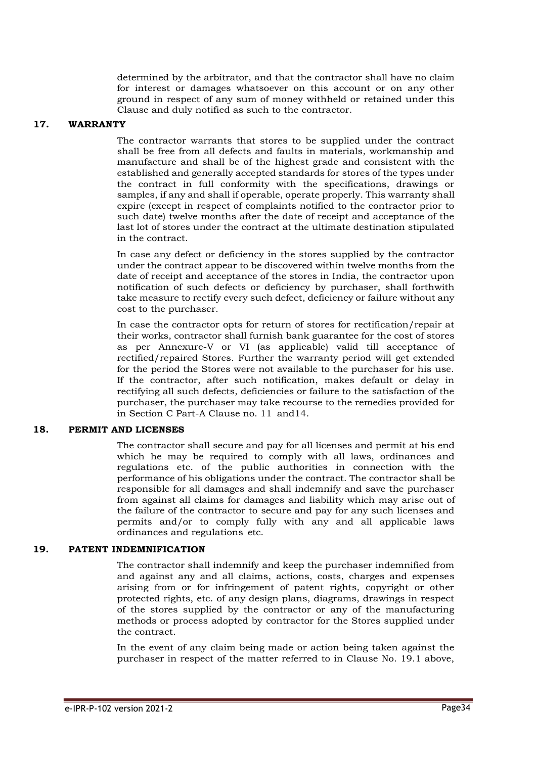determined by the arbitrator, and that the contractor shall have no claim for interest or damages whatsoever on this account or on any other ground in respect of any sum of money withheld or retained under this Clause and duly notified as such to the contractor.

#### **17. WARRANTY**

The contractor warrants that stores to be supplied under the contract shall be free from all defects and faults in materials, workmanship and manufacture and shall be of the highest grade and consistent with the established and generally accepted standards for stores of the types under the contract in full conformity with the specifications, drawings or samples, if any and shall if operable, operate properly. This warranty shall expire (except in respect of complaints notified to the contractor prior to such date) twelve months after the date of receipt and acceptance of the last lot of stores under the contract at the ultimate destination stipulated in the contract.

In case any defect or deficiency in the stores supplied by the contractor under the contract appear to be discovered within twelve months from the date of receipt and acceptance of the stores in India, the contractor upon notification of such defects or deficiency by purchaser, shall forthwith take measure to rectify every such defect, deficiency or failure without any cost to the purchaser.

In case the contractor opts for return of stores for rectification/repair at their works, contractor shall furnish bank guarantee for the cost of stores as per Annexure-V or VI (as applicable) valid till acceptance of rectified/repaired Stores. Further the warranty period will get extended for the period the Stores were not available to the purchaser for his use. If the contractor, after such notification, makes default or delay in rectifying all such defects, deficiencies or failure to the satisfaction of the purchaser, the purchaser may take recourse to the remedies provided for in Section C Part-A Clause no. 11 and14.

#### **18. PERMIT AND LICENSES**

The contractor shall secure and pay for all licenses and permit at his end which he may be required to comply with all laws, ordinances and regulations etc. of the public authorities in connection with the performance of his obligations under the contract. The contractor shall be responsible for all damages and shall indemnify and save the purchaser from against all claims for damages and liability which may arise out of the failure of the contractor to secure and pay for any such licenses and permits and/or to comply fully with any and all applicable laws ordinances and regulations etc.

#### **19. PATENT INDEMNIFICATION**

The contractor shall indemnify and keep the purchaser indemnified from and against any and all claims, actions, costs, charges and expenses arising from or for infringement of patent rights, copyright or other protected rights, etc. of any design plans, diagrams, drawings in respect of the stores supplied by the contractor or any of the manufacturing methods or process adopted by contractor for the Stores supplied under the contract.

In the event of any claim being made or action being taken against the purchaser in respect of the matter referred to in Clause No. 19.1 above,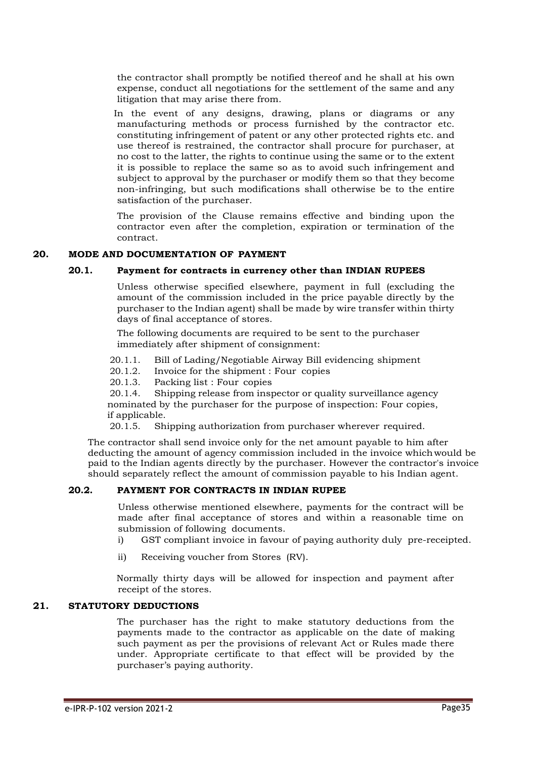the contractor shall promptly be notified thereof and he shall at his own expense, conduct all negotiations for the settlement of the same and any litigation that may arise there from.

In the event of any designs, drawing, plans or diagrams or any manufacturing methods or process furnished by the contractor etc. constituting infringement of patent or any other protected rights etc. and use thereof is restrained, the contractor shall procure for purchaser, at no cost to the latter, the rights to continue using the same or to the extent it is possible to replace the same so as to avoid such infringement and subject to approval by the purchaser or modify them so that they become non-infringing, but such modifications shall otherwise be to the entire satisfaction of the purchaser.

The provision of the Clause remains effective and binding upon the contractor even after the completion, expiration or termination of the contract.

#### **20. MODE AND DOCUMENTATION OF PAYMENT**

#### **20.1. Payment for contracts in currency other than INDIAN RUPEES**

Unless otherwise specified elsewhere, payment in full (excluding the amount of the commission included in the price payable directly by the purchaser to the Indian agent) shall be made by wire transfer within thirty days of final acceptance of stores.

The following documents are required to be sent to the purchaser immediately after shipment of consignment:

- 20.1.1. Bill of Lading/Negotiable Airway Bill evidencing shipment
- 20.1.2. Invoice for the shipment : Four copies
- 20.1.3. Packing list : Four copies

20.1.4. Shipping release from inspector or quality surveillance agency nominated by the purchaser for the purpose of inspection: Four copies, if applicable.

20.1.5. Shipping authorization from purchaser wherever required.

The contractor shall send invoice only for the net amount payable to him after deducting the amount of agency commission included in the invoice whichwould be paid to the Indian agents directly by the purchaser. However the contractor's invoice should separately reflect the amount of commission payable to his Indian agent.

#### **20.2. PAYMENT FOR CONTRACTS IN INDIAN RUPEE**

Unless otherwise mentioned elsewhere, payments for the contract will be made after final acceptance of stores and within a reasonable time on submission of following documents.

- i) GST compliant invoice in favour of paying authority duly pre-receipted.
- ii) Receiving voucher from Stores (RV).

Normally thirty days will be allowed for inspection and payment after receipt of the stores.

## **21. STATUTORY DEDUCTIONS**

The purchaser has the right to make statutory deductions from the payments made to the contractor as applicable on the date of making such payment as per the provisions of relevant Act or Rules made there under. Appropriate certificate to that effect will be provided by the purchaser's paying authority.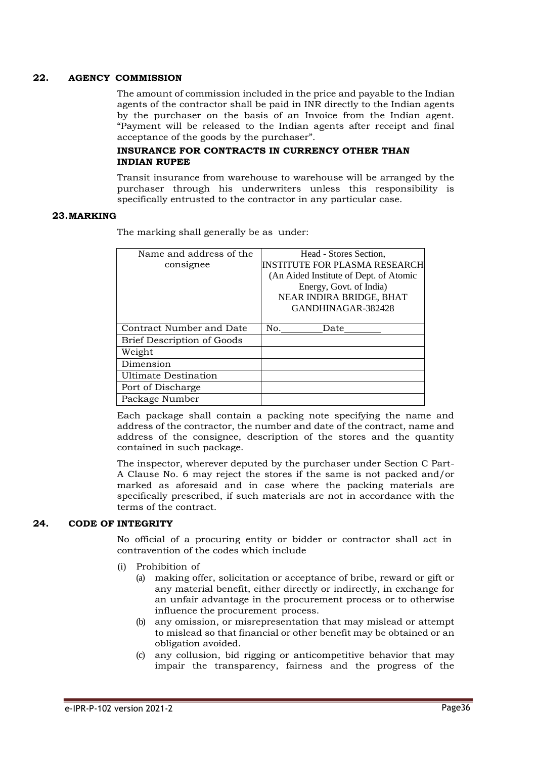#### **22. AGENCY COMMISSION**

The amount of commission included in the price and payable to the Indian agents of the contractor shall be paid in INR directly to the Indian agents by the purchaser on the basis of an Invoice from the Indian agent. "Payment will be released to the Indian agents after receipt and final acceptance of the goods by the purchaser".

#### **INSURANCE FOR CONTRACTS IN CURRENCY OTHER THAN INDIAN RUPEE**

Transit insurance from warehouse to warehouse will be arranged by the purchaser through his underwriters unless this responsibility is specifically entrusted to the contractor in any particular case.

#### **23.MARKING**

The marking shall generally be as under:

| Name and address of the           | Head - Stores Section,                 |  |  |
|-----------------------------------|----------------------------------------|--|--|
| consignee                         | <b>INSTITUTE FOR PLASMA RESEARCH</b>   |  |  |
|                                   | (An Aided Institute of Dept. of Atomic |  |  |
|                                   | Energy, Govt. of India)                |  |  |
|                                   | NEAR INDIRA BRIDGE, BHAT               |  |  |
|                                   | GANDHINAGAR-382428                     |  |  |
|                                   |                                        |  |  |
| Contract Number and Date          | No.<br>Date                            |  |  |
| <b>Brief Description of Goods</b> |                                        |  |  |
| Weight                            |                                        |  |  |
| Dimension                         |                                        |  |  |
| <b>Ultimate Destination</b>       |                                        |  |  |
| Port of Discharge                 |                                        |  |  |
| Package Number                    |                                        |  |  |

Each package shall contain a packing note specifying the name and address of the contractor, the number and date of the contract, name and address of the consignee, description of the stores and the quantity contained in such package.

The inspector, wherever deputed by the purchaser under Section C Part-A Clause No. 6 may reject the stores if the same is not packed and/or marked as aforesaid and in case where the packing materials are specifically prescribed, if such materials are not in accordance with the terms of the contract.

#### **24. CODE OF INTEGRITY**

No official of a procuring entity or bidder or contractor shall act in contravention of the codes which include

- (i) Prohibition of
	- (a) making offer, solicitation or acceptance of bribe, reward or gift or any material benefit, either directly or indirectly, in exchange for an unfair advantage in the procurement process or to otherwise influence the procurement process.
	- (b) any omission, or misrepresentation that may mislead or attempt to mislead so that financial or other benefit may be obtained or an obligation avoided.
	- (c) any collusion, bid rigging or anticompetitive behavior that may impair the transparency, fairness and the progress of the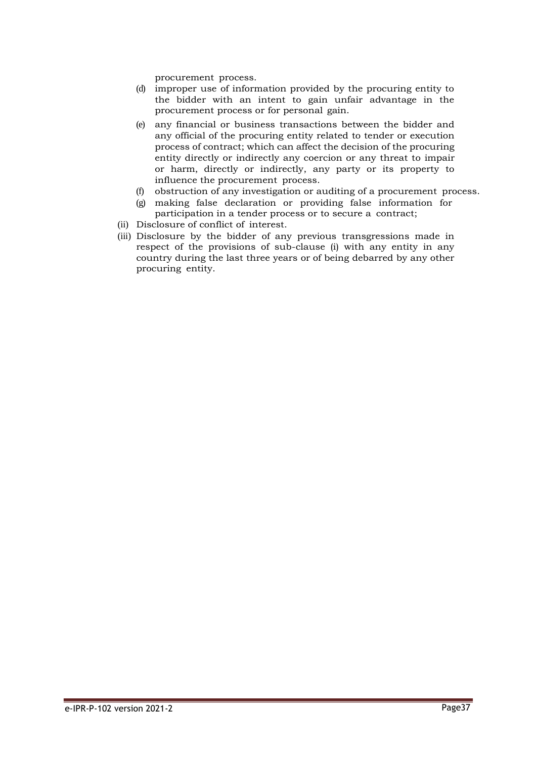procurement process.

- (d) improper use of information provided by the procuring entity to the bidder with an intent to gain unfair advantage in the procurement process or for personal gain.
- (e) any financial or business transactions between the bidder and any official of the procuring entity related to tender or execution process of contract; which can affect the decision of the procuring entity directly or indirectly any coercion or any threat to impair or harm, directly or indirectly, any party or its property to influence the procurement process.
- (f) obstruction of any investigation or auditing of a procurement process.
- (g) making false declaration or providing false information for participation in a tender process or to secure a contract;
- (ii) Disclosure of conflict of interest.
- (iii) Disclosure by the bidder of any previous transgressions made in respect of the provisions of sub-clause (i) with any entity in any country during the last three years or of being debarred by any other procuring entity.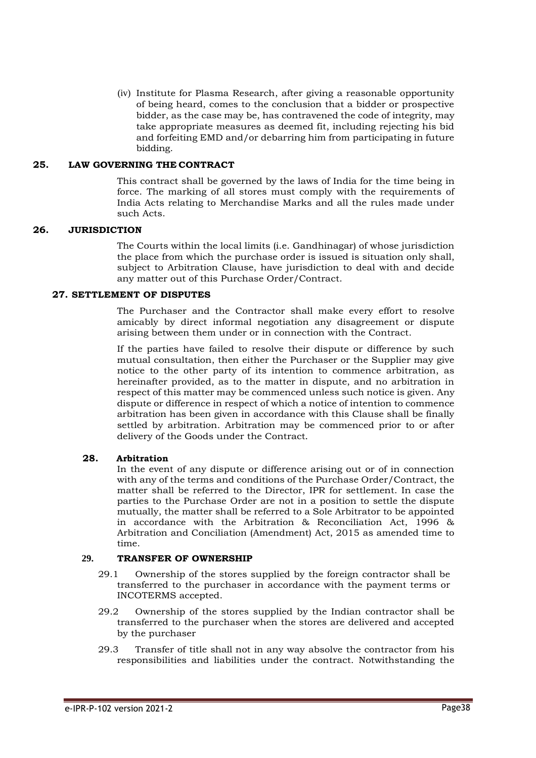(iv) Institute for Plasma Research, after giving a reasonable opportunity of being heard, comes to the conclusion that a bidder or prospective bidder, as the case may be, has contravened the code of integrity, may take appropriate measures as deemed fit, including rejecting his bid and forfeiting EMD and/or debarring him from participating in future bidding.

#### **25. LAW GOVERNING THE CONTRACT**

This contract shall be governed by the laws of India for the time being in force. The marking of all stores must comply with the requirements of India Acts relating to Merchandise Marks and all the rules made under such Acts.

#### **26. JURISDICTION**

The Courts within the local limits (i.e. Gandhinagar) of whose jurisdiction the place from which the purchase order is issued is situation only shall, subject to Arbitration Clause, have jurisdiction to deal with and decide any matter out of this Purchase Order/Contract.

#### **27. SETTLEMENT OF DISPUTES**

The Purchaser and the Contractor shall make every effort to resolve amicably by direct informal negotiation any disagreement or dispute arising between them under or in connection with the Contract.

If the parties have failed to resolve their dispute or difference by such mutual consultation, then either the Purchaser or the Supplier may give notice to the other party of its intention to commence arbitration, as hereinafter provided, as to the matter in dispute, and no arbitration in respect of this matter may be commenced unless such notice is given. Any dispute or difference in respect of which a notice of intention to commence arbitration has been given in accordance with this Clause shall be finally settled by arbitration. Arbitration may be commenced prior to or after delivery of the Goods under the Contract.

# **28. Arbitration**

In the event of any dispute or difference arising out or of in connection with any of the terms and conditions of the Purchase Order/Contract, the matter shall be referred to the Director, IPR for settlement. In case the parties to the Purchase Order are not in a position to settle the dispute mutually, the matter shall be referred to a Sole Arbitrator to be appointed in accordance with the Arbitration & Reconciliation Act, 1996 & Arbitration and Conciliation (Amendment) Act, 2015 as amended time to time.

# **29. TRANSFER OF OWNERSHIP**

- 29.1 Ownership of the stores supplied by the foreign contractor shall be transferred to the purchaser in accordance with the payment terms or INCOTERMS accepted.
- 29.2 Ownership of the stores supplied by the Indian contractor shall be transferred to the purchaser when the stores are delivered and accepted by the purchaser
- 29.3 Transfer of title shall not in any way absolve the contractor from his responsibilities and liabilities under the contract. Notwithstanding the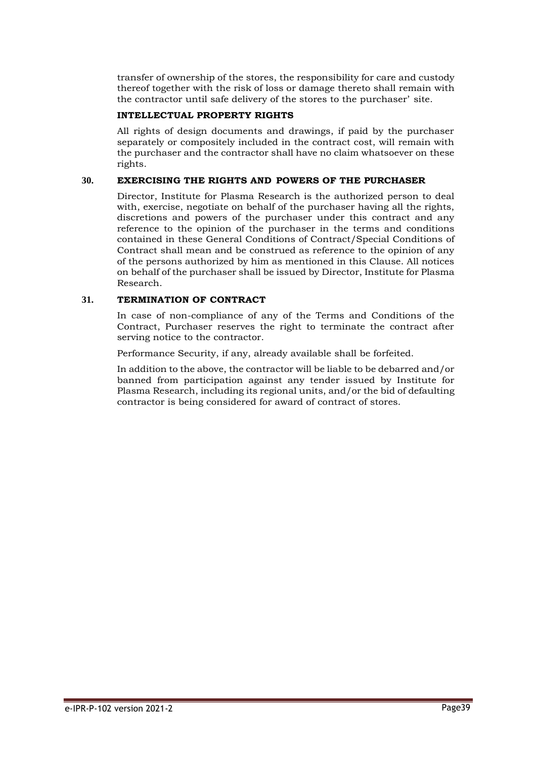transfer of ownership of the stores, the responsibility for care and custody thereof together with the risk of loss or damage thereto shall remain with the contractor until safe delivery of the stores to the purchaser' site.

#### **INTELLECTUAL PROPERTY RIGHTS**

All rights of design documents and drawings, if paid by the purchaser separately or compositely included in the contract cost, will remain with the purchaser and the contractor shall have no claim whatsoever on these rights.

#### **30. EXERCISING THE RIGHTS AND POWERS OF THE PURCHASER**

Director, Institute for Plasma Research is the authorized person to deal with, exercise, negotiate on behalf of the purchaser having all the rights, discretions and powers of the purchaser under this contract and any reference to the opinion of the purchaser in the terms and conditions contained in these General Conditions of Contract/Special Conditions of Contract shall mean and be construed as reference to the opinion of any of the persons authorized by him as mentioned in this Clause. All notices on behalf of the purchaser shall be issued by Director, Institute for Plasma Research.

#### **31. TERMINATION OF CONTRACT**

In case of non-compliance of any of the Terms and Conditions of the Contract, Purchaser reserves the right to terminate the contract after serving notice to the contractor.

Performance Security, if any, already available shall be forfeited.

In addition to the above, the contractor will be liable to be debarred and/or banned from participation against any tender issued by Institute for Plasma Research, including its regional units, and/or the bid of defaulting contractor is being considered for award of contract of stores.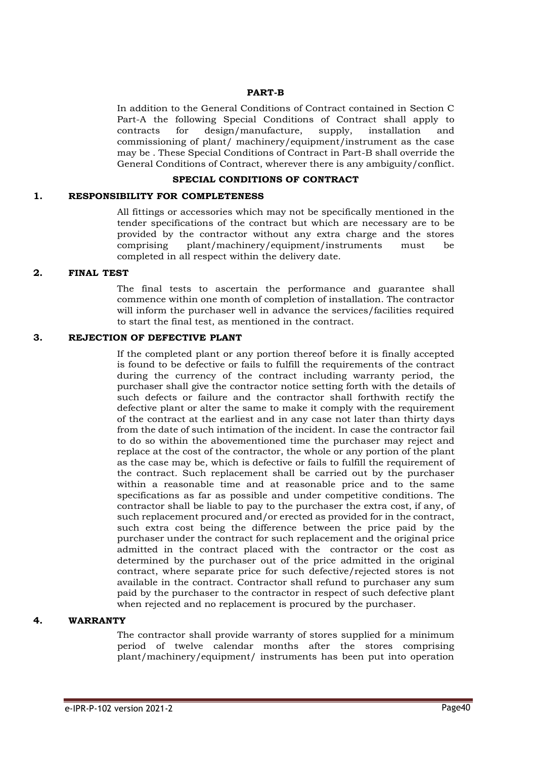#### **PART-B**

In addition to the General Conditions of Contract contained in Section C Part-A the following Special Conditions of Contract shall apply to contracts for design/manufacture, supply, installation and commissioning of plant/ machinery/equipment/instrument as the case may be . These Special Conditions of Contract in Part-B shall override the General Conditions of Contract, wherever there is any ambiguity/conflict.

### **SPECIAL CONDITIONS OF CONTRACT**

#### **1. RESPONSIBILITY FOR COMPLETENESS**

All fittings or accessories which may not be specifically mentioned in the tender specifications of the contract but which are necessary are to be provided by the contractor without any extra charge and the stores comprising plant/machinery/equipment/instruments must be completed in all respect within the delivery date.

#### **2. FINAL TEST**

The final tests to ascertain the performance and guarantee shall commence within one month of completion of installation. The contractor will inform the purchaser well in advance the services/facilities required to start the final test, as mentioned in the contract.

#### **3. REJECTION OF DEFECTIVE PLANT**

If the completed plant or any portion thereof before it is finally accepted is found to be defective or fails to fulfill the requirements of the contract during the currency of the contract including warranty period, the purchaser shall give the contractor notice setting forth with the details of such defects or failure and the contractor shall forthwith rectify the defective plant or alter the same to make it comply with the requirement of the contract at the earliest and in any case not later than thirty days from the date of such intimation of the incident. In case the contractor fail to do so within the abovementioned time the purchaser may reject and replace at the cost of the contractor, the whole or any portion of the plant as the case may be, which is defective or fails to fulfill the requirement of the contract. Such replacement shall be carried out by the purchaser within a reasonable time and at reasonable price and to the same specifications as far as possible and under competitive conditions. The contractor shall be liable to pay to the purchaser the extra cost, if any, of such replacement procured and/or erected as provided for in the contract, such extra cost being the difference between the price paid by the purchaser under the contract for such replacement and the original price admitted in the contract placed with the contractor or the cost as determined by the purchaser out of the price admitted in the original contract, where separate price for such defective/rejected stores is not available in the contract. Contractor shall refund to purchaser any sum paid by the purchaser to the contractor in respect of such defective plant when rejected and no replacement is procured by the purchaser.

# **4. WARRANTY**

The contractor shall provide warranty of stores supplied for a minimum period of twelve calendar months after the stores comprising plant/machinery/equipment/ instruments has been put into operation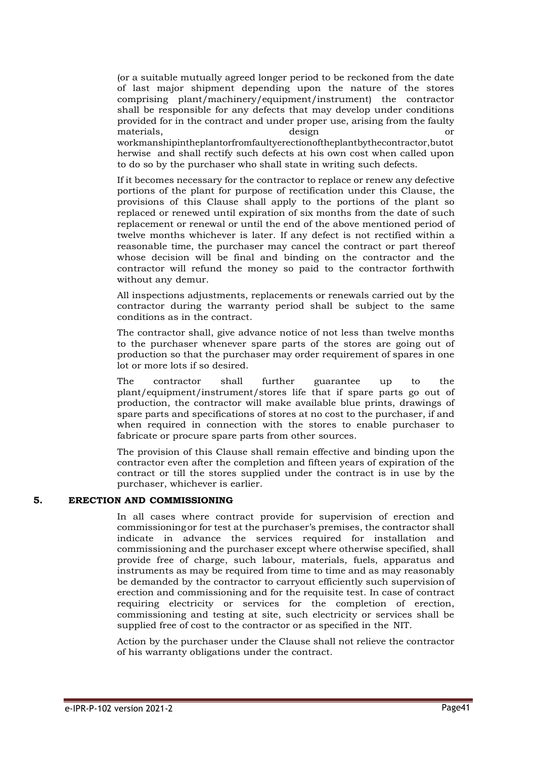(or a suitable mutually agreed longer period to be reckoned from the date of last major shipment depending upon the nature of the stores comprising plant/machinery/equipment/instrument) the contractor shall be responsible for any defects that may develop under conditions provided for in the contract and under proper use, arising from the faulty materials, design or workmanshipintheplantorfromfaultyerectionoftheplantbythecontractor,butot herwise and shall rectify such defects at his own cost when called upon to do so by the purchaser who shall state in writing such defects.

If it becomes necessary for the contractor to replace or renew any defective portions of the plant for purpose of rectification under this Clause, the provisions of this Clause shall apply to the portions of the plant so replaced or renewed until expiration of six months from the date of such replacement or renewal or until the end of the above mentioned period of twelve months whichever is later. If any defect is not rectified within a reasonable time, the purchaser may cancel the contract or part thereof whose decision will be final and binding on the contractor and the contractor will refund the money so paid to the contractor forthwith without any demur.

All inspections adjustments, replacements or renewals carried out by the contractor during the warranty period shall be subject to the same conditions as in the contract.

The contractor shall, give advance notice of not less than twelve months to the purchaser whenever spare parts of the stores are going out of production so that the purchaser may order requirement of spares in one lot or more lots if so desired.

The contractor shall further guarantee up to the plant/equipment/instrument/stores life that if spare parts go out of production, the contractor will make available blue prints, drawings of spare parts and specifications of stores at no cost to the purchaser, if and when required in connection with the stores to enable purchaser to fabricate or procure spare parts from other sources.

The provision of this Clause shall remain effective and binding upon the contractor even after the completion and fifteen years of expiration of the contract or till the stores supplied under the contract is in use by the purchaser, whichever is earlier.

#### **5. ERECTION AND COMMISSIONING**

In all cases where contract provide for supervision of erection and commissioning or for test at the purchaser's premises, the contractor shall indicate in advance the services required for installation and commissioning and the purchaser except where otherwise specified, shall provide free of charge, such labour, materials, fuels, apparatus and instruments as may be required from time to time and as may reasonably be demanded by the contractor to carryout efficiently such supervision of erection and commissioning and for the requisite test. In case of contract requiring electricity or services for the completion of erection, commissioning and testing at site, such electricity or services shall be supplied free of cost to the contractor or as specified in the NIT.

Action by the purchaser under the Clause shall not relieve the contractor of his warranty obligations under the contract.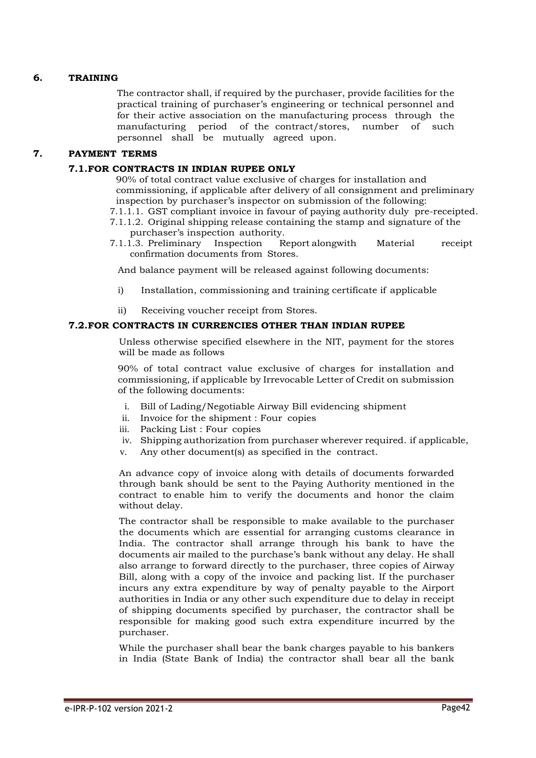# **6. TRAINING**

The contractor shall, if required by the purchaser, provide facilities for the practical training of purchaser's engineering or technical personnel and for their active association on the manufacturing process through the manufacturing period of the contract/stores, number of such personnel shall be mutually agreed upon.

### **7. PAYMENT TERMS**

### **7.1.FOR CONTRACTS IN INDIAN RUPEE ONLY**

90% of total contract value exclusive of charges for installation and commissioning, if applicable after delivery of all consignment and preliminary inspection by purchaser's inspector on submission of the following:

- 7.1.1.1. GST compliant invoice in favour of paying authority duly pre-receipted.
- 7.1.1.2. Original shipping release containing the stamp and signature of the purchaser's inspection authority.<br>1.3. Preliminary Inspection R
- 7.1.1.3. Preliminary Inspection Report alongwith Material receipt confirmation documents from Stores.

And balance payment will be released against following documents:

- i) Installation, commissioning and training certificate if applicable
- ii) Receiving voucher receipt from Stores.

#### **7.2.FOR CONTRACTS IN CURRENCIES OTHER THAN INDIAN RUPEE**

Unless otherwise specified elsewhere in the NIT, payment for the stores will be made as follows

90% of total contract value exclusive of charges for installation and commissioning, if applicable by Irrevocable Letter of Credit on submission of the following documents:

- i. Bill of Lading/Negotiable Airway Bill evidencing shipment
- ii. Invoice for the shipment : Four copies
- iii. Packing List : Four copies
- iv. Shipping authorization from purchaser wherever required. if applicable,
- v. Any other document(s) as specified in the contract.

An advance copy of invoice along with details of documents forwarded through bank should be sent to the Paying Authority mentioned in the contract to enable him to verify the documents and honor the claim without delay.

The contractor shall be responsible to make available to the purchaser the documents which are essential for arranging customs clearance in India. The contractor shall arrange through his bank to have the documents air mailed to the purchase's bank without any delay. He shall also arrange to forward directly to the purchaser, three copies of Airway Bill, along with a copy of the invoice and packing list. If the purchaser incurs any extra expenditure by way of penalty payable to the Airport authorities in India or any other such expenditure due to delay in receipt of shipping documents specified by purchaser, the contractor shall be responsible for making good such extra expenditure incurred by the purchaser.

While the purchaser shall bear the bank charges payable to his bankers in India (State Bank of India) the contractor shall bear all the bank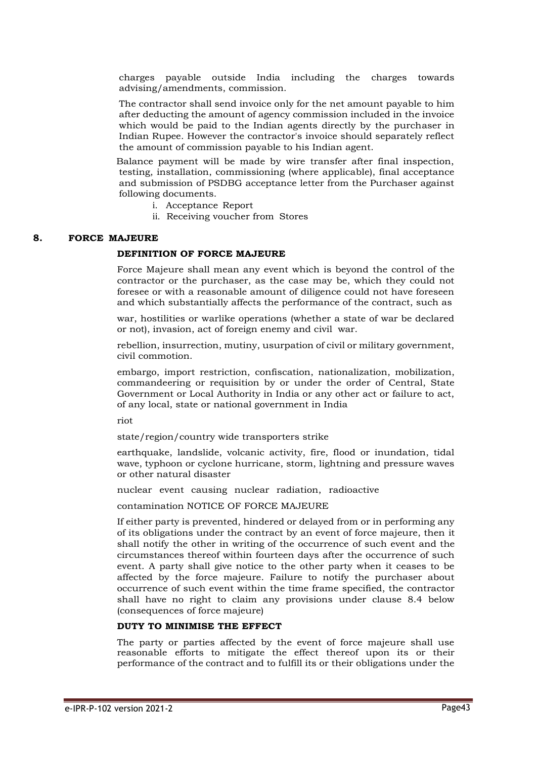charges payable outside India including the charges towards advising/amendments, commission.

The contractor shall send invoice only for the net amount payable to him after deducting the amount of agency commission included in the invoice which would be paid to the Indian agents directly by the purchaser in Indian Rupee. However the contractor's invoice should separately reflect the amount of commission payable to his Indian agent.

Balance payment will be made by wire transfer after final inspection, testing, installation, commissioning (where applicable), final acceptance and submission of PSDBG acceptance letter from the Purchaser against following documents.

- i. Acceptance Report
- ii. Receiving voucher from Stores

#### **8. FORCE MAJEURE**

#### **DEFINITION OF FORCE MAJEURE**

Force Majeure shall mean any event which is beyond the control of the contractor or the purchaser, as the case may be, which they could not foresee or with a reasonable amount of diligence could not have foreseen and which substantially affects the performance of the contract, such as

war, hostilities or warlike operations (whether a state of war be declared or not), invasion, act of foreign enemy and civil war.

rebellion, insurrection, mutiny, usurpation of civil or military government, civil commotion.

embargo, import restriction, confiscation, nationalization, mobilization, commandeering or requisition by or under the order of Central, State Government or Local Authority in India or any other act or failure to act, of any local, state or national government in India

riot

state/region/country wide transporters strike

earthquake, landslide, volcanic activity, fire, flood or inundation, tidal wave, typhoon or cyclone hurricane, storm, lightning and pressure waves or other natural disaster

nuclear event causing nuclear radiation, radioactive

contamination NOTICE OF FORCE MAJEURE

If either party is prevented, hindered or delayed from or in performing any of its obligations under the contract by an event of force majeure, then it shall notify the other in writing of the occurrence of such event and the circumstances thereof within fourteen days after the occurrence of such event. A party shall give notice to the other party when it ceases to be affected by the force majeure. Failure to notify the purchaser about occurrence of such event within the time frame specified, the contractor shall have no right to claim any provisions under clause 8.4 below (consequences of force majeure)

#### **DUTY TO MINIMISE THE EFFECT**

The party or parties affected by the event of force majeure shall use reasonable efforts to mitigate the effect thereof upon its or their performance of the contract and to fulfill its or their obligations under the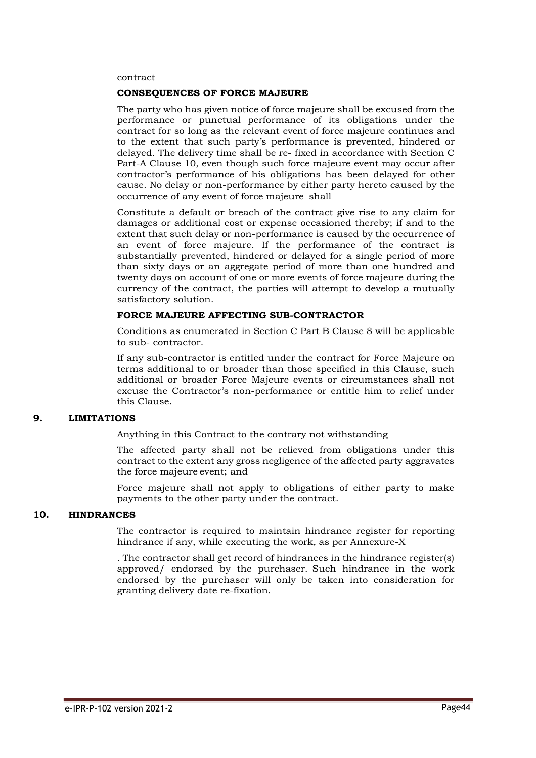#### contract

#### **CONSEQUENCES OF FORCE MAJEURE**

The party who has given notice of force majeure shall be excused from the performance or punctual performance of its obligations under the contract for so long as the relevant event of force majeure continues and to the extent that such party's performance is prevented, hindered or delayed. The delivery time shall be re- fixed in accordance with Section C Part-A Clause 10, even though such force majeure event may occur after contractor's performance of his obligations has been delayed for other cause. No delay or non-performance by either party hereto caused by the occurrence of any event of force majeure shall

Constitute a default or breach of the contract give rise to any claim for damages or additional cost or expense occasioned thereby; if and to the extent that such delay or non-performance is caused by the occurrence of an event of force majeure. If the performance of the contract is substantially prevented, hindered or delayed for a single period of more than sixty days or an aggregate period of more than one hundred and twenty days on account of one or more events of force majeure during the currency of the contract, the parties will attempt to develop a mutually satisfactory solution.

# **FORCE MAJEURE AFFECTING SUB-CONTRACTOR**

Conditions as enumerated in Section C Part B Clause 8 will be applicable to sub- contractor.

If any sub-contractor is entitled under the contract for Force Majeure on terms additional to or broader than those specified in this Clause, such additional or broader Force Majeure events or circumstances shall not excuse the Contractor's non-performance or entitle him to relief under this Clause.

#### **9. LIMITATIONS**

Anything in this Contract to the contrary not withstanding

The affected party shall not be relieved from obligations under this contract to the extent any gross negligence of the affected party aggravates the force majeure event; and

Force majeure shall not apply to obligations of either party to make payments to the other party under the contract.

#### **10. HINDRANCES**

The contractor is required to maintain hindrance register for reporting hindrance if any, while executing the work, as per Annexure-X

. The contractor shall get record of hindrances in the hindrance register(s) approved/ endorsed by the purchaser. Such hindrance in the work endorsed by the purchaser will only be taken into consideration for granting delivery date re-fixation.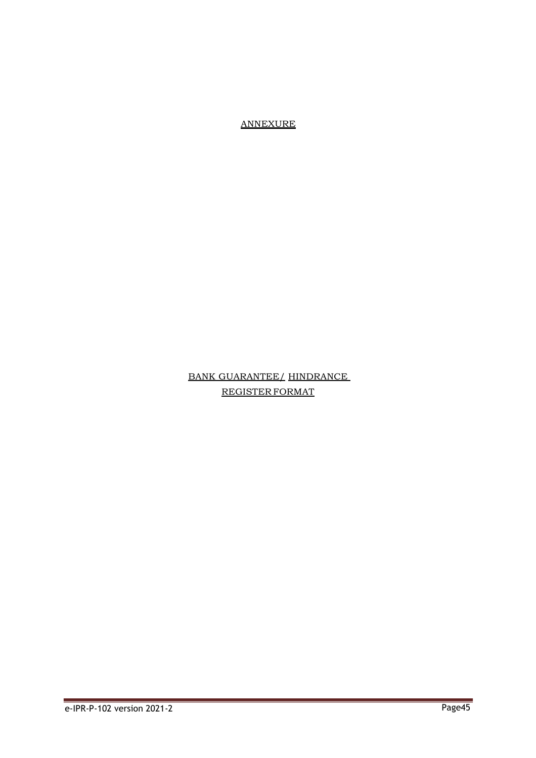ANNEXURE

# BANK GUARANTEE/ HINDRANCE REGISTER FORMAT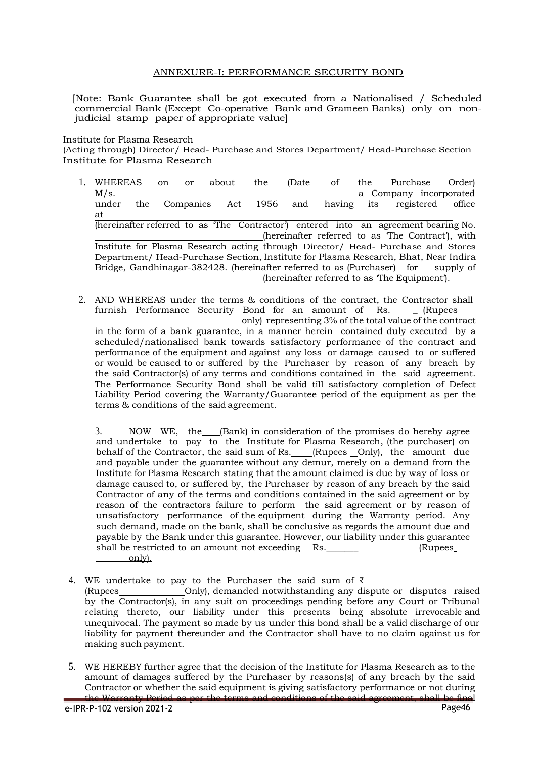#### ANNEXURE-I: PERFORMANCE SECURITY BOND

[Note: Bank Guarantee shall be got executed from a Nationalised / Scheduled commercial Bank (Except Co-operative Bank and Grameen Banks) only on nonjudicial stamp paper of appropriate value]

Institute for Plasma Research

(Acting through) Director/ Head- Purchase and Stores Department/ Head-Purchase Section Institute for Plasma Research

- 1. WHEREAS on or about the (Date of the Purchase Order) M/s. a Company incorporated a Company incorporated under the Companies Act 1956 and having its registered office at (hereinafter referred to as 'The Contractor') entered into an agreement bearing No. (hereinafter referred to as 'The Contract'), with Institute for Plasma Research acting through Director/ Head- Purchase and Stores Department/ Head-Purchase Section, Institute for Plasma Research, Bhat, Near Indira Bridge, Gandhinagar-382428. (hereinafter referred to as (Purchaser) for supply of (hereinafter referred to as 'The Equipment').
- 2. AND WHEREAS under the terms & conditions of the contract, the Contractor shall furnish Performance Security Bond for an amount of Rs. \_ (Rupees only) representing 3% of the total value of the contract in the form of a bank guarantee, in a manner herein contained duly executed by a scheduled/nationalised bank towards satisfactory performance of the contract and performance of the equipment and against any loss or damage caused to or suffered or would be caused to or suffered by the Purchaser by reason of any breach by the said Contractor(s) of any terms and conditions contained in the said agreement. The Performance Security Bond shall be valid till satisfactory completion of Defect Liability Period covering the Warranty/Guarantee period of the equipment as per the terms & conditions of the said agreement.

3. NOW WE, the (Bank) in consideration of the promises do hereby agree and undertake to pay to the Institute for Plasma Research, (the purchaser) on behalf of the Contractor, the said sum of Rs. \_\_\_(Rupees \_Only), the amount due and payable under the guarantee without any demur, merely on a demand from the Institute for Plasma Research stating that the amount claimed is due by way of loss or damage caused to, or suffered by, the Purchaser by reason of any breach by the said Contractor of any of the terms and conditions contained in the said agreement or by reason of the contractors failure to perform the said agreement or by reason of unsatisfactory performance of the equipment during the Warranty period. Any such demand, made on the bank, shall be conclusive as regards the amount due and payable by the Bank under this guarantee. However, our liability under this guarantee shall be restricted to an amount not exceeding Rs. The Rupees only).

4. WE undertake to pay to the Purchaser the said sum of  $\bar{\tau}$ 

(Rupees \_\_\_\_\_\_\_\_\_\_\_\_\_\_\_Only), demanded notwithstanding any dispute or disputes raised by the Contractor(s), in any suit on proceedings pending before any Court or Tribunal relating thereto, our liability under this presents being absolute irrevocable and unequivocal. The payment so made by us under this bond shall be a valid discharge of our liability for payment thereunder and the Contractor shall have to no claim against us for making such payment.

e-IPR-P-102 version 2021-2 Page46 5. WE HEREBY further agree that the decision of the Institute for Plasma Research as to the amount of damages suffered by the Purchaser by reasons(s) of any breach by the said Contractor or whether the said equipment is giving satisfactory performance or not during the Warranty Period as per the terms and conditions of the said agreement, shall be final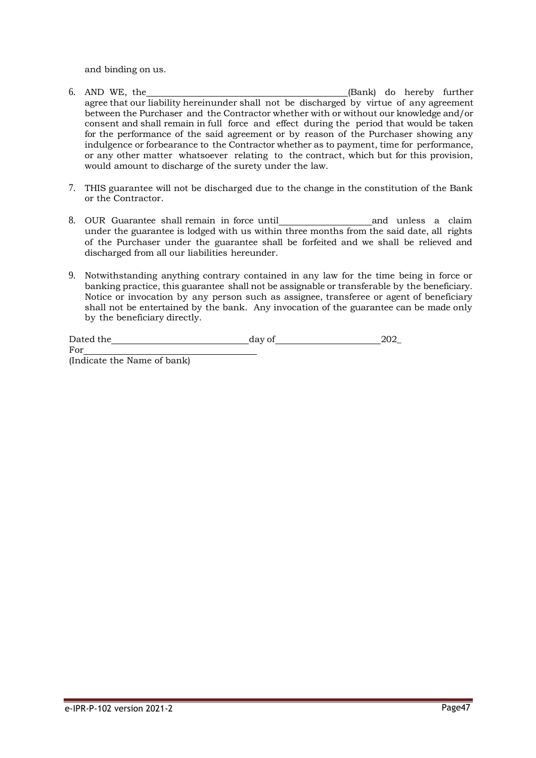and binding on us.

- 6. AND WE, the (Bank) do hereby further agree that our liability hereinunder shall not be discharged by virtue of any agreement between the Purchaser and the Contractor whether with or without our knowledge and/or consent and shall remain in full force and effect during the period that would be taken for the performance of the said agreement or by reason of the Purchaser showing any indulgence or forbearance to the Contractor whether as to payment, time for performance, or any other matter whatsoever relating to the contract, which but for this provision, would amount to discharge of the surety under the law.
- 7. THIS guarantee will not be discharged due to the change in the constitution of the Bank or the Contractor.
- 8. OUR Guarantee shall remain in force until and unless a claim under the guarantee is lodged with us within three months from the said date, all rights of the Purchaser under the guarantee shall be forfeited and we shall be relieved and discharged from all our liabilities hereunder.
- 9. Notwithstanding anything contrary contained in any law for the time being in force or banking practice, this guarantee shall not be assignable or transferable by the beneficiary. Notice or invocation by any person such as assignee, transferee or agent of beneficiary shall not be entertained by the bank. Any invocation of the guarantee can be made only by the beneficiary directly.

| Dated the                   | day of | 202 |
|-----------------------------|--------|-----|
| For                         |        |     |
| (Indicate the Name of bank) |        |     |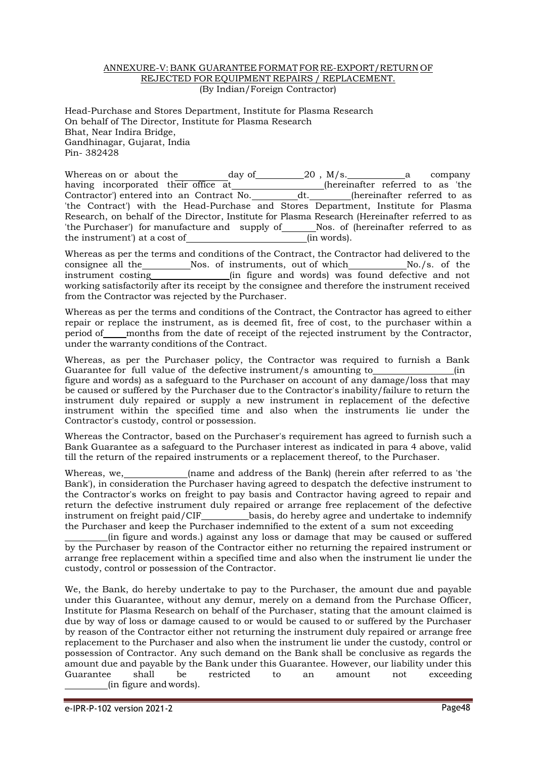#### ANNEXURE-V: BANK GUARANTEE FORMATFOR RE-EXPORT/RETURN OF REJECTED FOR EQUIPMENT REPAIRS / REPLACEMENT. (By Indian/Foreign Contractor)

Head-Purchase and Stores Department, Institute for Plasma Research On behalf of The Director, Institute for Plasma Research Bhat, Near Indira Bridge, Gandhinagar, Gujarat, India Pin- 382428

Whereas on or about the day of  $20$ , M/s. a company having incorporated their office at (hereinafter referred to as 'the Contractor') entered into an Contract No. dt. (hereinafter referred to as Contractor') entered into an Contract No. dt. 'the Contract') with the Head-Purchase and Stores Department, Institute for Plasma Research, on behalf of the Director, Institute for Plasma Research (Hereinafter referred to as 'the Purchaser') for manufacture and supply of \_\_\_\_\_\_Nos. of (hereinafter referred to as the instrument') at a cost of (in words).

Whereas as per the terms and conditions of the Contract, the Contractor had delivered to the consignee all the Nos. of instruments, out of which No./s. of the consignee all the Nos. of instruments, out of which<br>instrument costing (in figure and words) was found d (in figure and words) was found defective and not working satisfactorily after its receipt by the consignee and therefore the instrument received from the Contractor was rejected by the Purchaser.

Whereas as per the terms and conditions of the Contract, the Contractor has agreed to either repair or replace the instrument, as is deemed fit, free of cost, to the purchaser within a period of months from the date of receipt of the rejected instrument by the Contractor, under the warranty conditions of the Contract.

Whereas, as per the Purchaser policy, the Contractor was required to furnish a Bank Guarantee for full value of the defective instrument/s amounting to \_\_\_\_\_\_\_\_\_\_\_\_\_(in figure and words) as a safeguard to the Purchaser on account of any damage/loss that may be caused or suffered by the Purchaser due to the Contractor's inability/failure to return the instrument duly repaired or supply a new instrument in replacement of the defective instrument within the specified time and also when the instruments lie under the Contractor's custody, control or possession.

Whereas the Contractor, based on the Purchaser's requirement has agreed to furnish such a Bank Guarantee as a safeguard to the Purchaser interest as indicated in para 4 above, valid till the return of the repaired instruments or a replacement thereof, to the Purchaser.

Whereas, we, (name and address of the Bank) (herein after referred to as 'the Bank'), in consideration the Purchaser having agreed to despatch the defective instrument to the Contractor's works on freight to pay basis and Contractor having agreed to repair and return the defective instrument duly repaired or arrange free replacement of the defective instrument on freight paid/CIF basis, do hereby agree and undertake to indemnify the Purchaser and keep the Purchaser indemnified to the extent of a sum not exceeding

(in figure and words.) against any loss or damage that may be caused or suffered by the Purchaser by reason of the Contractor either no returning the repaired instrument or arrange free replacement within a specified time and also when the instrument lie under the custody, control or possession of the Contractor.

We, the Bank, do hereby undertake to pay to the Purchaser, the amount due and payable under this Guarantee, without any demur, merely on a demand from the Purchase Officer, Institute for Plasma Research on behalf of the Purchaser, stating that the amount claimed is due by way of loss or damage caused to or would be caused to or suffered by the Purchaser by reason of the Contractor either not returning the instrument duly repaired or arrange free replacement to the Purchaser and also when the instrument lie under the custody, control or possession of Contractor. Any such demand on the Bank shall be conclusive as regards the amount due and payable by the Bank under this Guarantee. However, our liability under this Guarantee shall be restricted to an amount not exceeding (in figure and words).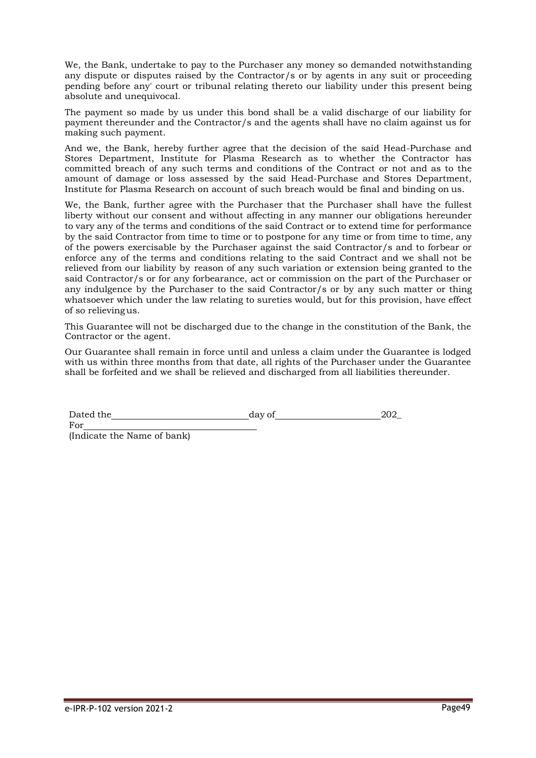We, the Bank, undertake to pay to the Purchaser any money so demanded notwithstanding any dispute or disputes raised by the Contractor/s or by agents in any suit or proceeding pending before any' court or tribunal relating thereto our liability under this present being absolute and unequivocal.

The payment so made by us under this bond shall be a valid discharge of our liability for payment thereunder and the Contractor/s and the agents shall have no claim against us for making such payment.

And we, the Bank, hereby further agree that the decision of the said Head-Purchase and Stores Department, Institute for Plasma Research as to whether the Contractor has committed breach of any such terms and conditions of the Contract or not and as to the amount of damage or loss assessed by the said Head-Purchase and Stores Department, Institute for Plasma Research on account of such breach would be final and binding on us.

We, the Bank, further agree with the Purchaser that the Purchaser shall have the fullest liberty without our consent and without affecting in any manner our obligations hereunder to vary any of the terms and conditions of the said Contract or to extend time for performance by the said Contractor from time to time or to postpone for any time or from time to time, any of the powers exercisable by the Purchaser against the said Contractor/s and to forbear or enforce any of the terms and conditions relating to the said Contract and we shall not be relieved from our liability by reason of any such variation or extension being granted to the said Contractor/s or for any forbearance, act or commission on the part of the Purchaser or any indulgence by the Purchaser to the said Contractor/s or by any such matter or thing whatsoever which under the law relating to sureties would, but for this provision, have effect of so relievingus.

This Guarantee will not be discharged due to the change in the constitution of the Bank, the Contractor or the agent.

Our Guarantee shall remain in force until and unless a claim under the Guarantee is lodged with us within three months from that date, all rights of the Purchaser under the Guarantee shall be forfeited and we shall be relieved and discharged from all liabilities thereunder.

Dated the day of 202

For (Indicate the Name of bank)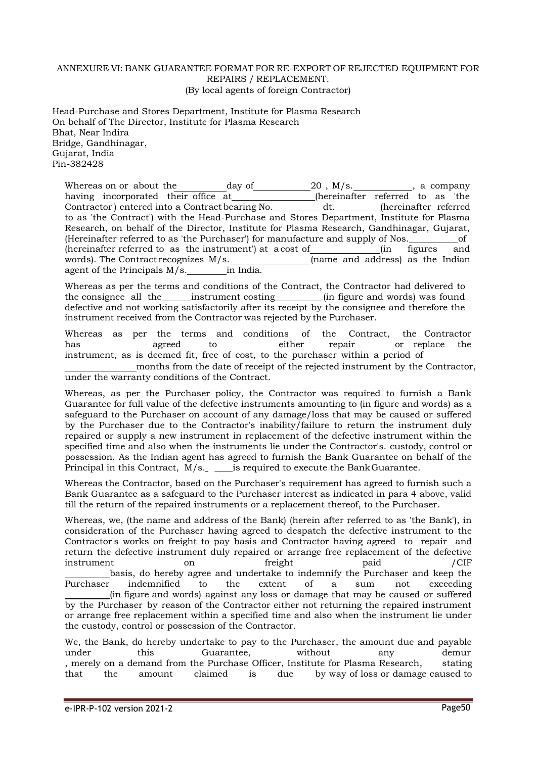#### ANNEXURE VI: BANK GUARANTEE FORMAT FOR RE-EXPORT OF REJECTED EQUIPMENT FOR REPAIRS / REPLACEMENT. (By local agents of foreign Contractor)

Head-Purchase and Stores Department, Institute for Plasma Research On behalf of The Director, Institute for Plasma Research Bhat, Near Indira Bridge, Gandhinagar, Gujarat, India Pin-382428

Whereas on or about the day of  $\frac{20}{18}$ , M/s.  $\frac{20}{18}$ , a company having incorporated their office at\_\_\_\_\_\_\_\_\_\_\_\_\_\_\_(hereinafter referred to as 'the Contractor') entered into a Contract bearing No. \_\_\_\_\_\_\_\_\_\_\_\_dt. \_\_\_\_\_\_\_\_\_(hereinafter referred to as 'the Contract') with the Head-Purchase and Stores Department, Institute for Plasma Research, on behalf of the Director, Institute for Plasma Research, Gandhinagar, Gujarat, (Hereinafter referred to as 'the Purchaser') for manufacture and supply of Nos. of (hereinafter referred to as the instrument') at a cost of (in figures and words). The Contract recognizes  $M/s$ . (name and address) as the Indian agent of the Principals M/s. in India.

Whereas as per the terms and conditions of the Contract, the Contractor had delivered to the consignee all the instrument costing (in figure and words) was found defective and not working satisfactorily after its receipt by the consignee and therefore the instrument received from the Contractor was rejected by the Purchaser.

Whereas as per the terms and conditions of the Contract, the Contractor has agreed to either repair or replace the has agreed to either repair or replace the instrument, as is deemed fit, free of cost, to the purchaser within a period of

months from the date of receipt of the rejected instrument by the Contractor, under the warranty conditions of the Contract.

Whereas, as per the Purchaser policy, the Contractor was required to furnish a Bank Guarantee for full value of the defective instruments amounting to (in figure and words) as a safeguard to the Purchaser on account of any damage/loss that may be caused or suffered by the Purchaser due to the Contractor's inability/failure to return the instrument duly repaired or supply a new instrument in replacement of the defective instrument within the specified time and also when the instruments lie under the Contractor's. custody, control or possession. As the Indian agent has agreed to furnish the Bank Guarantee on behalf of the Principal in this Contract,  $M/s$ .  $\_\_\_\_\_\_\_\_\_\_\_\_\_\_\_\_\_\_\_\_\_\_\_\_\_\_\_\_\_\.\_$  the BankGuarantee.

Whereas the Contractor, based on the Purchaser's requirement has agreed to furnish such a Bank Guarantee as a safeguard to the Purchaser interest as indicated in para 4 above, valid till the return of the repaired instruments or a replacement thereof, to the Purchaser.

Whereas, we, (the name and address of the Bank) (herein after referred to as 'the Bank'), in consideration of the Purchaser having agreed to despatch the defective instrument to the Contractor's works on freight to pay basis and Contractor having agreed to repair and return the defective instrument duly repaired or arrange free replacement of the defective instrument on freight paid /CIF basis, do hereby agree and undertake to indemnify the Purchaser and keep the Purchaser indemnified to the extent of a sum not exceeding (in figure and words) against any loss or damage that may be caused or suffered by the Purchaser by reason of the Contractor either not returning the repaired instrument or arrange free replacement within a specified time and also when the instrument lie under the custody, control or possession of the Contractor.

We, the Bank, do hereby undertake to pay to the Purchaser, the amount due and payable under this Guarantee, without any demur , merely on a demand from the Purchase Officer, Institute for Plasma Research, stating that the amount claimed is due by way of loss or damage caused to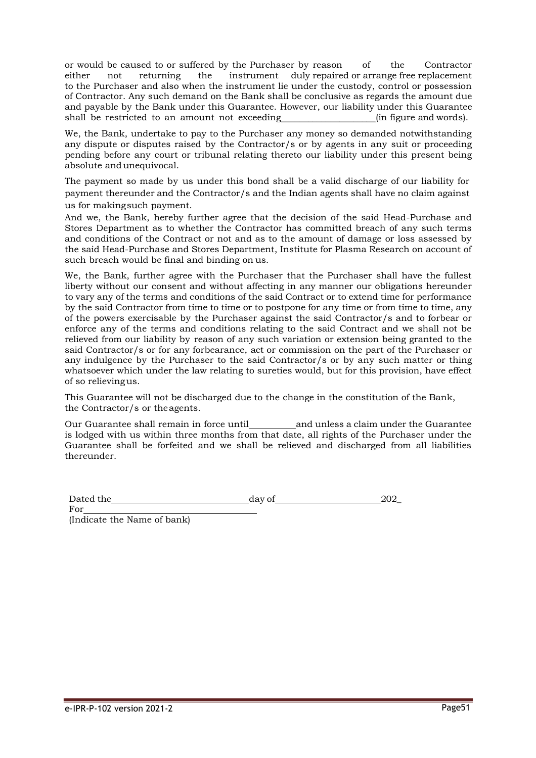or would be caused to or suffered by the Purchaser by reason of the Contractor either not returning the instrument duly repaired or arrange free replacement to the Purchaser and also when the instrument lie under the custody, control or possession of Contractor. Any such demand on the Bank shall be conclusive as regards the amount due and payable by the Bank under this Guarantee. However, our liability under this Guarantee shall be restricted to an amount not exceeding  $\qquad$  (in figure and words).

We, the Bank, undertake to pay to the Purchaser any money so demanded notwithstanding any dispute or disputes raised by the Contractor/s or by agents in any suit or proceeding pending before any court or tribunal relating thereto our liability under this present being absolute andunequivocal.

The payment so made by us under this bond shall be a valid discharge of our liability for payment thereunder and the Contractor/s and the Indian agents shall have no claim against us for makingsuch payment.

And we, the Bank, hereby further agree that the decision of the said Head-Purchase and Stores Department as to whether the Contractor has committed breach of any such terms and conditions of the Contract or not and as to the amount of damage or loss assessed by the said Head-Purchase and Stores Department, Institute for Plasma Research on account of such breach would be final and binding on us.

We, the Bank, further agree with the Purchaser that the Purchaser shall have the fullest liberty without our consent and without affecting in any manner our obligations hereunder to vary any of the terms and conditions of the said Contract or to extend time for performance by the said Contractor from time to time or to postpone for any time or from time to time, any of the powers exercisable by the Purchaser against the said Contractor/s and to forbear or enforce any of the terms and conditions relating to the said Contract and we shall not be relieved from our liability by reason of any such variation or extension being granted to the said Contractor/s or for any forbearance, act or commission on the part of the Purchaser or any indulgence by the Purchaser to the said Contractor/s or by any such matter or thing whatsoever which under the law relating to sureties would, but for this provision, have effect of so relievingus.

This Guarantee will not be discharged due to the change in the constitution of the Bank, the Contractor/s or theagents.

Our Guarantee shall remain in force until and unless a claim under the Guarantee is lodged with us within three months from that date, all rights of the Purchaser under the Guarantee shall be forfeited and we shall be relieved and discharged from all liabilities thereunder.

| Dated the | day of | 202 |
|-----------|--------|-----|
|           |        |     |

For

(Indicate the Name of bank)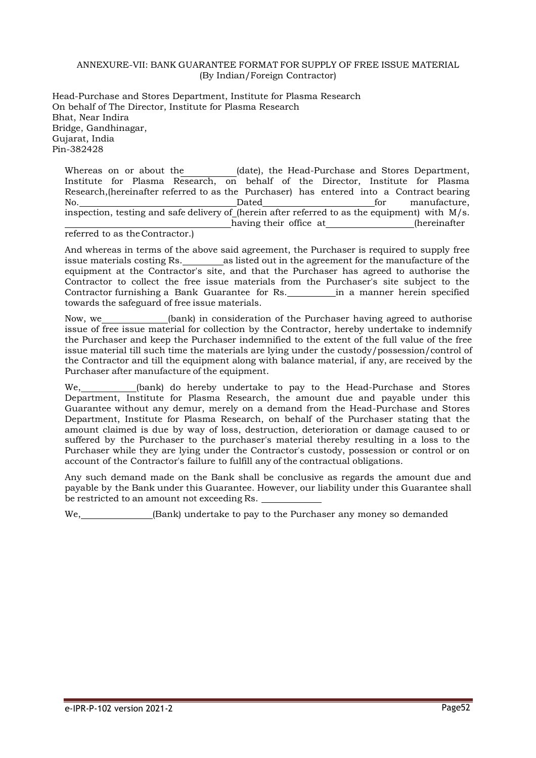#### ANNEXURE-VII: BANK GUARANTEE FORMAT FOR SUPPLY OF FREE ISSUE MATERIAL (By Indian/Foreign Contractor)

Head-Purchase and Stores Department, Institute for Plasma Research On behalf of The Director, Institute for Plasma Research Bhat, Near Indira Bridge, Gandhinagar, Gujarat, India Pin-382428

Whereas on or about the (date), the Head-Purchase and Stores Department, Institute for Plasma Research, on behalf of the Director, Institute for Plasma Research,(hereinafter referred to as the Purchaser) has entered into a Contract bearing No. Dated for manufacture, inspection, testing and safe delivery of (herein after referred to as the equipment) with  $\rm\,M/s.$ having their office at (hereinafter

referred to as theContractor.)

And whereas in terms of the above said agreement, the Purchaser is required to supply free issue materials costing Rs. \_\_\_\_\_\_\_\_\_\_ as listed out in the agreement for the manufacture of the equipment at the Contractor's site, and that the Purchaser has agreed to authorise the Contractor to collect the free issue materials from the Purchaser's site subject to the Contractor furnishing a Bank Guarantee for Rs. in a manner herein specified towards the safeguard of free issue materials.

Now, we (bank) in consideration of the Purchaser having agreed to authorise issue of free issue material for collection by the Contractor, hereby undertake to indemnify the Purchaser and keep the Purchaser indemnified to the extent of the full value of the free issue material till such time the materials are lying under the custody/possession/control of the Contractor and till the equipment along with balance material, if any, are received by the Purchaser after manufacture of the equipment.

We, \_\_\_\_\_\_\_\_(bank) do hereby undertake to pay to the Head-Purchase and Stores Department, Institute for Plasma Research, the amount due and payable under this Guarantee without any demur, merely on a demand from the Head-Purchase and Stores Department, Institute for Plasma Research, on behalf of the Purchaser stating that the amount claimed is due by way of loss, destruction, deterioration or damage caused to or suffered by the Purchaser to the purchaser's material thereby resulting in a loss to the Purchaser while they are lying under the Contractor's custody, possession or control or on account of the Contractor's failure to fulfill any of the contractual obligations.

Any such demand made on the Bank shall be conclusive as regards the amount due and payable by the Bank under this Guarantee. However, our liability under this Guarantee shall be restricted to an amount not exceeding Rs.

We, (Bank) undertake to pay to the Purchaser any money so demanded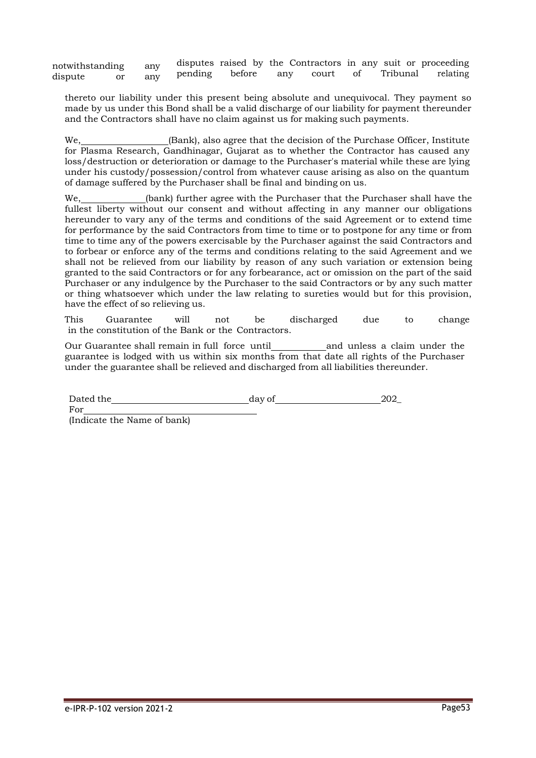notwithstanding any dispute or any disputes raised by the Contractors in any suit or proceeding<br>pending before any court of Tribunal relating Tribunal relating

thereto our liability under this present being absolute and unequivocal. They payment so made by us under this Bond shall be a valid discharge of our liability for payment thereunder and the Contractors shall have no claim against us for making such payments.

We, (Bank), also agree that the decision of the Purchase Officer, Institute for Plasma Research, Gandhinagar, Gujarat as to whether the Contractor has caused any loss/destruction or deterioration or damage to the Purchaser's material while these are lying under his custody/possession/control from whatever cause arising as also on the quantum of damage suffered by the Purchaser shall be final and binding on us.

We, (bank) further agree with the Purchaser that the Purchaser shall have the fullest liberty without our consent and without affecting in any manner our obligations hereunder to vary any of the terms and conditions of the said Agreement or to extend time for performance by the said Contractors from time to time or to postpone for any time or from time to time any of the powers exercisable by the Purchaser against the said Contractors and to forbear or enforce any of the terms and conditions relating to the said Agreement and we shall not be relieved from our liability by reason of any such variation or extension being granted to the said Contractors or for any forbearance, act or omission on the part of the said Purchaser or any indulgence by the Purchaser to the said Contractors or by any such matter or thing whatsoever which under the law relating to sureties would but for this provision, have the effect of so relieving us.

This Guarantee will not be discharged due to change in the constitution of the Bank or the Contractors.

Our Guarantee shall remain in full force until and unless a claim under the guarantee is lodged with us within six months from that date all rights of the Purchaser under the guarantee shall be relieved and discharged from all liabilities thereunder.

Dated the day of 202 For

(Indicate the Name of bank)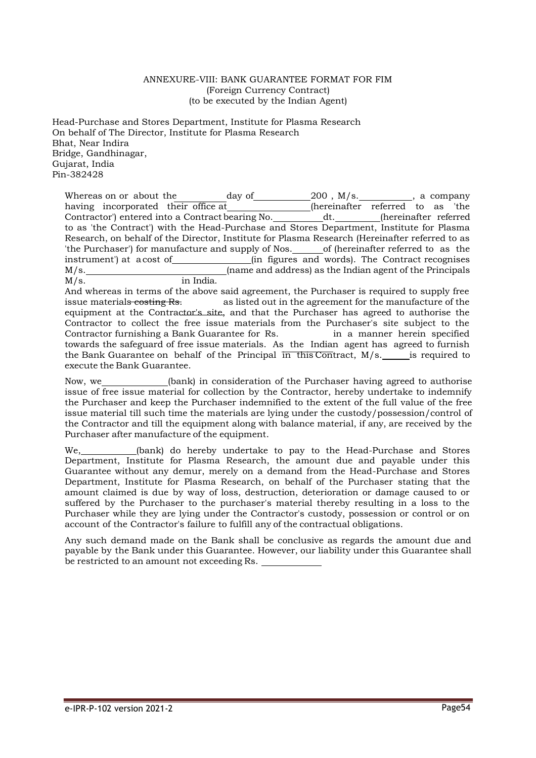#### ANNEXURE-VIII: BANK GUARANTEE FORMAT FOR FIM (Foreign Currency Contract) (to be executed by the Indian Agent)

Head-Purchase and Stores Department, Institute for Plasma Research On behalf of The Director, Institute for Plasma Research Bhat, Near Indira Bridge, Gandhinagar, Gujarat, India Pin-382428

Whereas on or about the day of  $\begin{array}{ccc} 200 \end{array}$ , M/s.  $\begin{array}{ccc} 2 & \text{3} & \text{4} \end{array}$  , a company having incorporated their office at\_\_\_\_\_\_\_\_\_\_\_\_\_\_\_(hereinafter referred to as 'the Contractor') entered into a Contract bearing No. \_\_\_\_\_\_\_\_\_\_\_\_dt. \_\_\_\_\_\_\_\_\_(hereinafter referred to as 'the Contract') with the Head-Purchase and Stores Department, Institute for Plasma Research, on behalf of the Director, Institute for Plasma Research (Hereinafter referred to as 'the Purchaser') for manufacture and supply of Nos. \_\_\_\_\_\_ of (hereinafter referred to as the instrument') at acost of (in figures and words). The Contract recognises M/s. (name and address) as the Indian agent of the Principals M/s. in India.

And whereas in terms of the above said agreement, the Purchaser is required to supply free issue materials costing Rs. as listed out in the agreement for the manufacture of the equipment at the Contractor's site, and that the Purchaser has agreed to authorise the Contractor to collect the free issue materials from the Purchaser's site subject to the Contractor furnishing a Bank Guarantee for Rs. in a manner herein specified towards the safeguard of free issue materials. As the Indian agent has agreed to furnish the Bank Guarantee on behalf of the Principal in this Contract, M/s. is required to execute the Bank Guarantee.

Now, we (bank) in consideration of the Purchaser having agreed to authorise issue of free issue material for collection by the Contractor, hereby undertake to indemnify the Purchaser and keep the Purchaser indemnified to the extent of the full value of the free issue material till such time the materials are lying under the custody/possession/control of the Contractor and till the equipment along with balance material, if any, are received by the Purchaser after manufacture of the equipment.

We, (bank) do hereby undertake to pay to the Head-Purchase and Stores Department, Institute for Plasma Research, the amount due and payable under this Guarantee without any demur, merely on a demand from the Head-Purchase and Stores Department, Institute for Plasma Research, on behalf of the Purchaser stating that the amount claimed is due by way of loss, destruction, deterioration or damage caused to or suffered by the Purchaser to the purchaser's material thereby resulting in a loss to the Purchaser while they are lying under the Contractor's custody, possession or control or on account of the Contractor's failure to fulfill any of the contractual obligations.

Any such demand made on the Bank shall be conclusive as regards the amount due and payable by the Bank under this Guarantee. However, our liability under this Guarantee shall be restricted to an amount not exceeding Rs.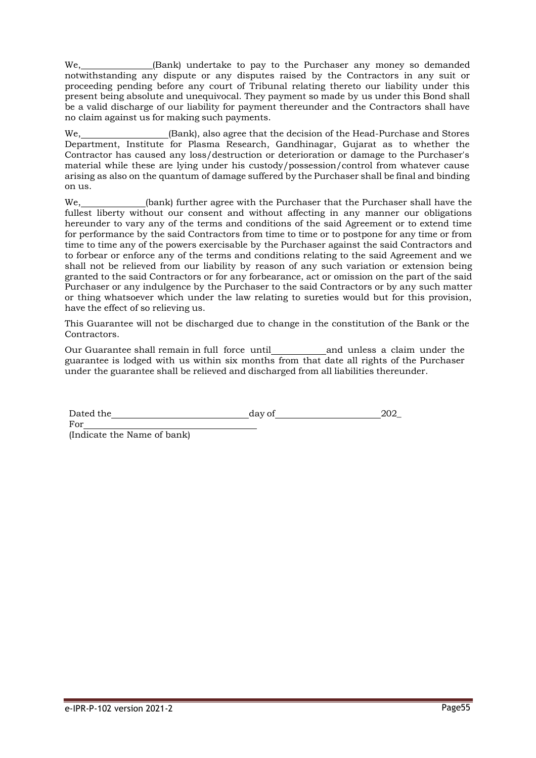We, (Bank) undertake to pay to the Purchaser any money so demanded notwithstanding any dispute or any disputes raised by the Contractors in any suit or proceeding pending before any court of Tribunal relating thereto our liability under this present being absolute and unequivocal. They payment so made by us under this Bond shall be a valid discharge of our liability for payment thereunder and the Contractors shall have no claim against us for making such payments.

We, (Bank), also agree that the decision of the Head-Purchase and Stores Department, Institute for Plasma Research, Gandhinagar, Gujarat as to whether the Contractor has caused any loss/destruction or deterioration or damage to the Purchaser's material while these are lying under his custody/possession/control from whatever cause arising as also on the quantum of damage suffered by the Purchaser shall be final and binding on us.

We, (bank) further agree with the Purchaser that the Purchaser shall have the fullest liberty without our consent and without affecting in any manner our obligations hereunder to vary any of the terms and conditions of the said Agreement or to extend time for performance by the said Contractors from time to time or to postpone for any time or from time to time any of the powers exercisable by the Purchaser against the said Contractors and to forbear or enforce any of the terms and conditions relating to the said Agreement and we shall not be relieved from our liability by reason of any such variation or extension being granted to the said Contractors or for any forbearance, act or omission on the part of the said Purchaser or any indulgence by the Purchaser to the said Contractors or by any such matter or thing whatsoever which under the law relating to sureties would but for this provision, have the effect of so relieving us.

This Guarantee will not be discharged due to change in the constitution of the Bank or the Contractors.

Our Guarantee shall remain in full force until and unless a claim under the guarantee is lodged with us within six months from that date all rights of the Purchaser under the guarantee shall be relieved and discharged from all liabilities thereunder.

Dated the day of 202

(Indicate the Name of bank)

For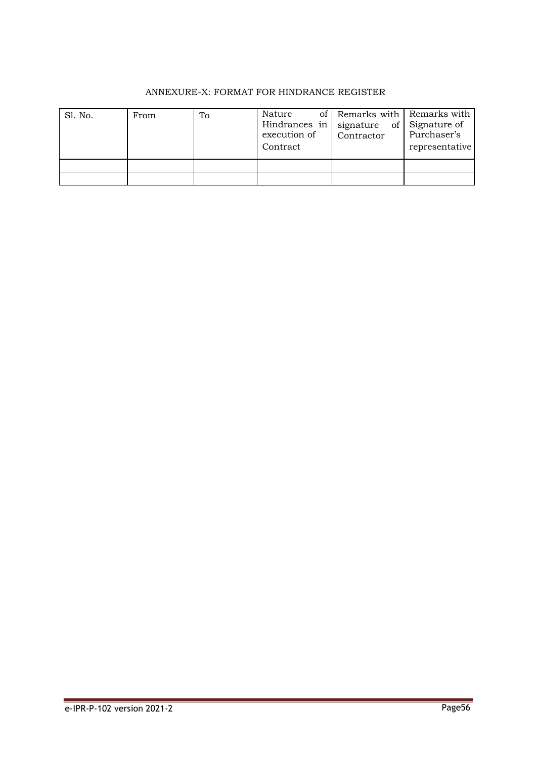# ANNEXURE-X: FORMAT FOR HINDRANCE REGISTER

| Sl. No. | From | To | Nature<br>Hindrances in<br>execution of<br>Contract | of Remarks with Remarks with<br>signature<br>Contractor | of Signature of<br>Purchaser's<br>representative |
|---------|------|----|-----------------------------------------------------|---------------------------------------------------------|--------------------------------------------------|
|         |      |    |                                                     |                                                         |                                                  |
|         |      |    |                                                     |                                                         |                                                  |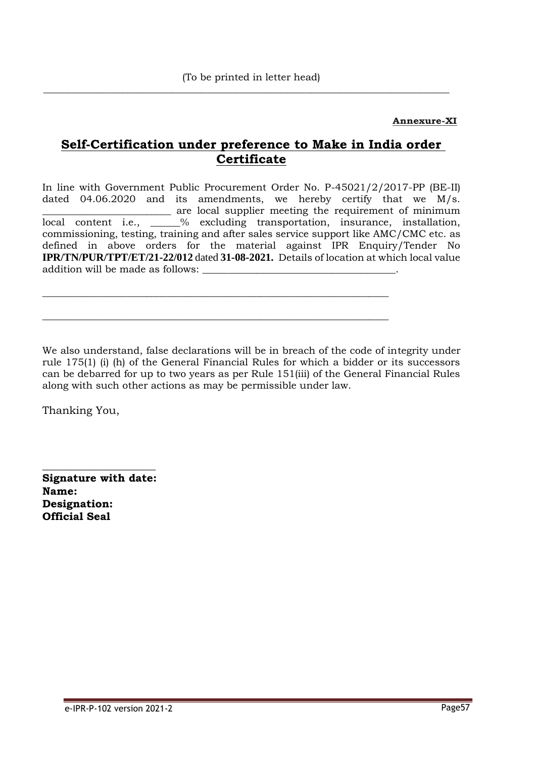$\overline{\phantom{a}}$  ,  $\overline{\phantom{a}}$  ,  $\overline{\phantom{a}}$  ,  $\overline{\phantom{a}}$  ,  $\overline{\phantom{a}}$  ,  $\overline{\phantom{a}}$  ,  $\overline{\phantom{a}}$  ,  $\overline{\phantom{a}}$  ,  $\overline{\phantom{a}}$  ,  $\overline{\phantom{a}}$  ,  $\overline{\phantom{a}}$  ,  $\overline{\phantom{a}}$  ,  $\overline{\phantom{a}}$  ,  $\overline{\phantom{a}}$  ,  $\overline{\phantom{a}}$  ,  $\overline{\phantom{a}}$ 

# **Annexure-XI**

# **Self-Certification under preference to Make in India order Certificate**

In line with Government Public Procurement Order No. P-45021/2/2017-PP (BE-II) dated 04.06.2020 and its amendments, we hereby certify that we M/s. \_\_\_\_\_\_\_\_\_\_\_\_\_\_\_\_\_\_\_\_\_\_\_\_\_\_ are local supplier meeting the requirement of minimum local content i.e., \_\_\_\_\_\_% excluding transportation, insurance, installation, commissioning, testing, training and after sales service support like AMC/CMC etc. as defined in above orders for the material against IPR Enquiry/Tender No **IPR/TN/PUR/TPT/ET/21-22/012** dated **31-08-2021.** Details of location at which local value addition will be made as follows:

\_\_\_\_\_\_\_\_\_\_\_\_\_\_\_\_\_\_\_\_\_\_\_\_\_\_\_\_\_\_\_\_\_\_\_\_\_\_\_\_\_\_\_\_\_\_\_\_\_\_\_\_\_\_\_\_\_\_\_\_\_\_\_\_\_\_\_\_\_\_

\_\_\_\_\_\_\_\_\_\_\_\_\_\_\_\_\_\_\_\_\_\_\_\_\_\_\_\_\_\_\_\_\_\_\_\_\_\_\_\_\_\_\_\_\_\_\_\_\_\_\_\_\_\_\_\_\_\_\_\_\_\_\_\_\_\_\_\_\_\_

We also understand, false declarations will be in breach of the code of integrity under rule 175(1) (i) (h) of the General Financial Rules for which a bidder or its successors can be debarred for up to two years as per Rule 151(iii) of the General Financial Rules along with such other actions as may be permissible under law.

Thanking You,

**Signature with date: Name: Designation: Official Seal**

**\_\_\_\_\_\_\_\_\_\_\_\_\_\_\_\_\_\_\_\_\_**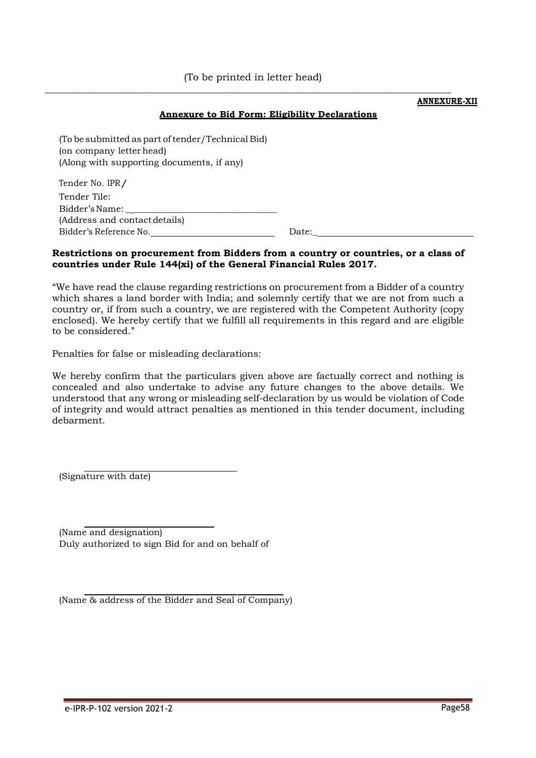$\mathcal{L} = \{ \mathcal{L} = \{ \mathcal{L} \mid \mathcal{L} = \{ \mathcal{L} \mid \mathcal{L} = \{ \mathcal{L} \mid \mathcal{L} = \{ \mathcal{L} \mid \mathcal{L} = \{ \mathcal{L} \mid \mathcal{L} = \{ \mathcal{L} \mid \mathcal{L} = \{ \mathcal{L} \mid \mathcal{L} = \{ \mathcal{L} \mid \mathcal{L} = \{ \mathcal{L} \mid \mathcal{L} = \{ \mathcal{L} \mid \mathcal{L} = \{ \mathcal{L} \mid \mathcal{L} = \{ \mathcal{L} \mid \mathcal{L} =$ 

#### **ANNEXURE-XII**

#### **Annexure to Bid Form: Eligibility Declarations**

| (To be submitted as part of tender/Technical Bid)<br>(on company letter head)<br>(Along with supporting documents, if any) |       |
|----------------------------------------------------------------------------------------------------------------------------|-------|
| Tender No. IPR/                                                                                                            |       |
| Tender Tile:                                                                                                               |       |
| Bidder's Name:                                                                                                             |       |
| (Address and contact details)                                                                                              |       |
| Bidder's Reference No.                                                                                                     | Date: |
|                                                                                                                            |       |

#### **Restrictions on procurement from Bidders from a country or countries, or a class of countries under Rule 144(xi) of the General Financial Rules 2017.**

"We have read the clause regarding restrictions on procurement from a Bidder of a country which shares a land border with India; and solemnly certify that we are not from such a country or, if from such a country, we are registered with the Competent Authority (copy enclosed). We hereby certify that we fulfill all requirements in this regard and are eligible to be considered."

Penalties for false or misleading declarations:

We hereby confirm that the particulars given above are factually correct and nothing is concealed and also undertake to advise any future changes to the above details. We understood that any wrong or misleading self-declaration by us would be violation of Code of integrity and would attract penalties as mentioned in this tender document, including debarment.

(Signature with date)

(Name and designation) Duly authorized to sign Bid for and on behalf of

(Name & address of the Bidder and Seal of Company)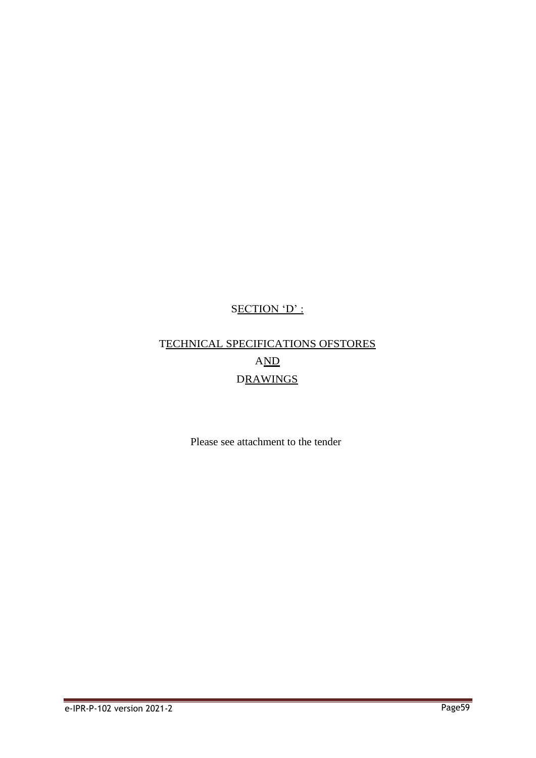# SECTION 'D' :

# TECHNICAL SPECIFICATIONS OFSTORES AND DRAWINGS

Please see attachment to the tender